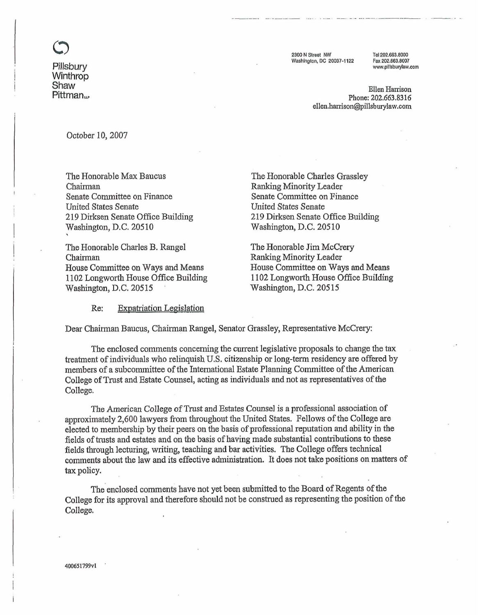

**Pillsbury Winthrop Shaw**  Pittman<sub>u</sub> 2300 N Street NW Washington, DC 20037-1122

Tel 202 663 8000 Fax 202.663.8007 www.pillsburylaw.com

**Ellen Harrison Phone: 202.663.8316 ellen.harrison@illsburylaw.oom** 

October 10,2007

The Honorable Max Baucus Chairman Senate Committee on Finance United States Senate 219 Dirksen Senate Office Building Washington, D.C. 20510

! The Honorable Charles B. Rangel Chairman House Committee on Ways and Means 1102 Longworth House Office Building Washington, D.C. 20515

The Honorable Charles Grassley **Ranking** Minority Leader Senate Committee on Finance United States Senate 219 Dirksen Senate Office Building Washington, **D.C.** 20510

The Honorable Jim McCrery Ranking Minority Leader House Committee on Ways and Means 1 102 Longworth House Office Building Washington, D.C. 20515

Re: Expatriation Legislation

Dear Chairman Baucus, Chairman Rangel, Senator Grassley, Representative McCrery:

The enclosed comments concerning the current legislative proposals to change the tax treatment of individuals who relinquish **U.S.** citizenship or long-term residency are offered by members of a subcommittee of the International Estate Planning Committee of the American College of Trust and Estate Counsel, acting as individuals and not as representatives of the College.

The American College of Trust and Estates Counsel is a professional association of approximately 2,600 lawyers from throughout the United States. Fellows of the College are elected to membership by their peers on the basis of professional reputation and ability in the fields of trusts and estates and on the basis of having made substantial contributions to these fields tbrough lecturing, writing, teaching and bar activities. The College offers technical comments about the law and its effective administration. It does not take positions on matters of **tax** policy.

The enclosed comments have not yet been submitted to the Board of Regents of the College for its approval and therefore should not be construed as representing the position of the College.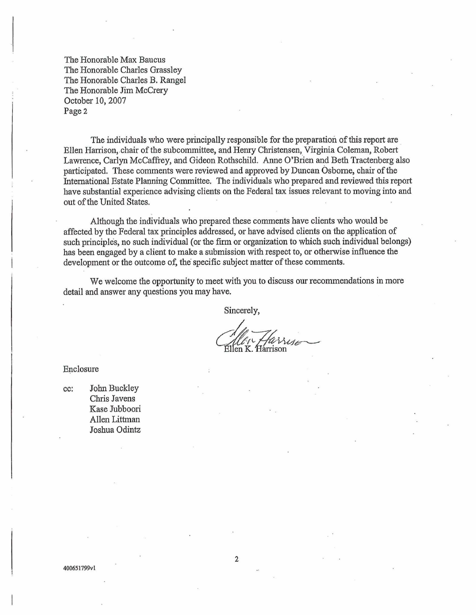The Honorable Max Baucus The Honorable Charles Grassley The Honorable Charles B. Rangel The Honorable Jim McCrery October 10,2007 Page 2

The individuals who were principally responsible for the preparation of this report are Ellen Harrison, chair of the subcommittee, and Henry Christensen, Virginia Coleman, Robert Lawrence, Carlyn McCaffrey, and Gideon Rothschild. Anne O'Brien and Beth Tractenberg also participated. These comments were reviewed and approved by Duncan Osborne, chair of the International Estate Planning Committee. The individuals who prepared and reviewed this report have substantial experience advising clients on the Federal tax issues relevant to moving into and out of the United States.

Although the individuals who prepared these comments have clients who would be affected by the Federal tax principles addressed, or have advised clients on the application of such principles, no such individual (or the firm or organization to which such individual belongs) has been engaged by a client to make a submission with respect to, or otherwise influence the development or the outcome of, the specific subject matter of these comments.

We welcome the opportunity to meet with you to discuss our recommendations in more detail and answer any questions you may have.

Sincerely,

llen K. Hárrison

Enclosure

**cc:** John Buckley Chris Javens Kase Jubboori Allen Littman Joshua **Odintz**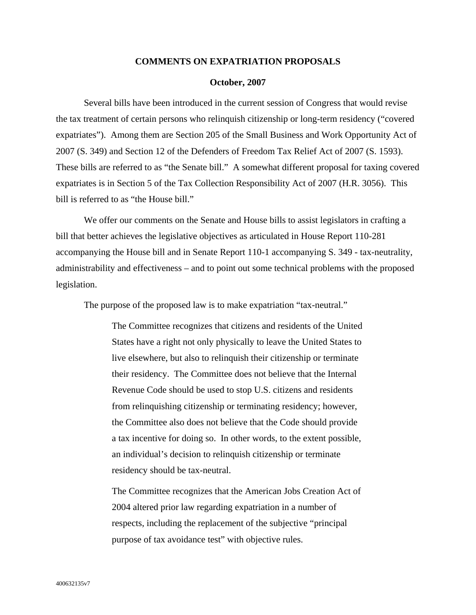### **COMMENTS ON EXPATRIATION PROPOSALS**

#### **October, 2007**

Several bills have been introduced in the current session of Congress that would revise the tax treatment of certain persons who relinquish citizenship or long-term residency ("covered expatriates"). Among them are Section 205 of the Small Business and Work Opportunity Act of 2007 (S. 349) and Section 12 of the Defenders of Freedom Tax Relief Act of 2007 (S. 1593). These bills are referred to as "the Senate bill." A somewhat different proposal for taxing covered expatriates is in Section 5 of the Tax Collection Responsibility Act of 2007 (H.R. 3056). This bill is referred to as "the House bill."

We offer our comments on the Senate and House bills to assist legislators in crafting a bill that better achieves the legislative objectives as articulated in House Report 110-281 accompanying the House bill and in Senate Report 110-1 accompanying S. 349 - tax-neutrality, administrability and effectiveness – and to point out some technical problems with the proposed legislation.

The purpose of the proposed law is to make expatriation "tax-neutral."

The Committee recognizes that citizens and residents of the United States have a right not only physically to leave the United States to live elsewhere, but also to relinquish their citizenship or terminate their residency. The Committee does not believe that the Internal Revenue Code should be used to stop U.S. citizens and residents from relinquishing citizenship or terminating residency; however, the Committee also does not believe that the Code should provide a tax incentive for doing so. In other words, to the extent possible, an individual's decision to relinquish citizenship or terminate residency should be tax-neutral.

The Committee recognizes that the American Jobs Creation Act of 2004 altered prior law regarding expatriation in a number of respects, including the replacement of the subjective "principal purpose of tax avoidance test" with objective rules.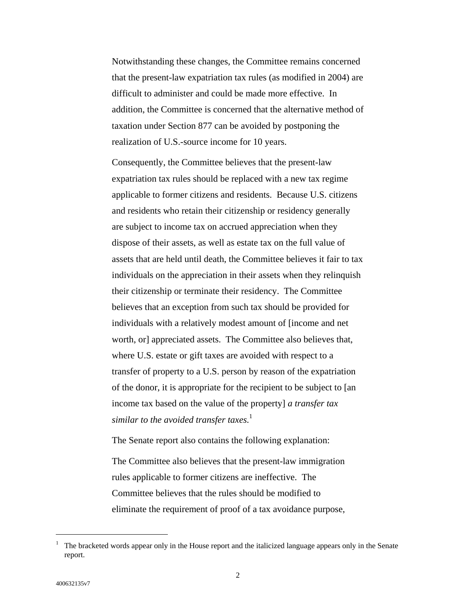Notwithstanding these changes, the Committee remains concerned that the present-law expatriation tax rules (as modified in 2004) are difficult to administer and could be made more effective. In addition, the Committee is concerned that the alternative method of taxation under Section 877 can be avoided by postponing the realization of U.S.-source income for 10 years.

Consequently, the Committee believes that the present-law expatriation tax rules should be replaced with a new tax regime applicable to former citizens and residents. Because U.S. citizens and residents who retain their citizenship or residency generally are subject to income tax on accrued appreciation when they dispose of their assets, as well as estate tax on the full value of assets that are held until death, the Committee believes it fair to tax individuals on the appreciation in their assets when they relinquish their citizenship or terminate their residency. The Committee believes that an exception from such tax should be provided for individuals with a relatively modest amount of [income and net worth, or] appreciated assets. The Committee also believes that, where U.S. estate or gift taxes are avoided with respect to a transfer of property to a U.S. person by reason of the expatriation of the donor, it is appropriate for the recipient to be subject to [an income tax based on the value of the property] *a transfer tax similar to the avoided transfer taxes.* [1](#page-3-0)

The Senate report also contains the following explanation:

The Committee also believes that the present-law immigration rules applicable to former citizens are ineffective. The Committee believes that the rules should be modified to eliminate the requirement of proof of a tax avoidance purpose,

<span id="page-3-0"></span><sup>&</sup>lt;sup>1</sup> The bracketed words appear only in the House report and the italicized language appears only in the Senate report.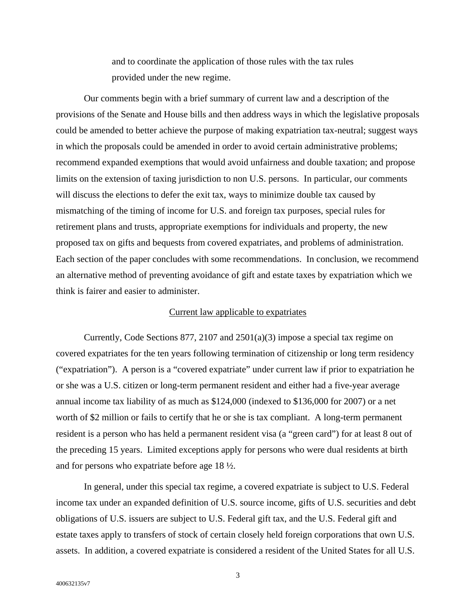and to coordinate the application of those rules with the tax rules provided under the new regime.

Our comments begin with a brief summary of current law and a description of the provisions of the Senate and House bills and then address ways in which the legislative proposals could be amended to better achieve the purpose of making expatriation tax-neutral; suggest ways in which the proposals could be amended in order to avoid certain administrative problems; recommend expanded exemptions that would avoid unfairness and double taxation; and propose limits on the extension of taxing jurisdiction to non U.S. persons. In particular, our comments will discuss the elections to defer the exit tax, ways to minimize double tax caused by mismatching of the timing of income for U.S. and foreign tax purposes, special rules for retirement plans and trusts, appropriate exemptions for individuals and property, the new proposed tax on gifts and bequests from covered expatriates, and problems of administration. Each section of the paper concludes with some recommendations. In conclusion, we recommend an alternative method of preventing avoidance of gift and estate taxes by expatriation which we think is fairer and easier to administer.

### Current law applicable to expatriates

Currently, Code Sections 877, 2107 and 2501(a)(3) impose a special tax regime on covered expatriates for the ten years following termination of citizenship or long term residency ("expatriation"). A person is a "covered expatriate" under current law if prior to expatriation he or she was a U.S. citizen or long-term permanent resident and either had a five-year average annual income tax liability of as much as \$124,000 (indexed to \$136,000 for 2007) or a net worth of \$2 million or fails to certify that he or she is tax compliant. A long-term permanent resident is a person who has held a permanent resident visa (a "green card") for at least 8 out of the preceding 15 years. Limited exceptions apply for persons who were dual residents at birth and for persons who expatriate before age 18 ½.

In general, under this special tax regime, a covered expatriate is subject to U.S. Federal income tax under an expanded definition of U.S. source income, gifts of U.S. securities and debt obligations of U.S. issuers are subject to U.S. Federal gift tax, and the U.S. Federal gift and estate taxes apply to transfers of stock of certain closely held foreign corporations that own U.S. assets. In addition, a covered expatriate is considered a resident of the United States for all U.S.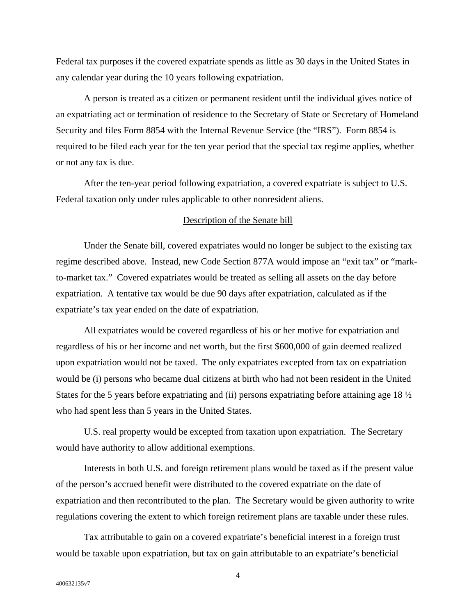Federal tax purposes if the covered expatriate spends as little as 30 days in the United States in any calendar year during the 10 years following expatriation.

A person is treated as a citizen or permanent resident until the individual gives notice of an expatriating act or termination of residence to the Secretary of State or Secretary of Homeland Security and files Form 8854 with the Internal Revenue Service (the "IRS"). Form 8854 is required to be filed each year for the ten year period that the special tax regime applies, whether or not any tax is due.

After the ten-year period following expatriation, a covered expatriate is subject to U.S. Federal taxation only under rules applicable to other nonresident aliens.

## Description of the Senate bill

Under the Senate bill, covered expatriates would no longer be subject to the existing tax regime described above. Instead, new Code Section 877A would impose an "exit tax" or "markto-market tax." Covered expatriates would be treated as selling all assets on the day before expatriation. A tentative tax would be due 90 days after expatriation, calculated as if the expatriate's tax year ended on the date of expatriation.

All expatriates would be covered regardless of his or her motive for expatriation and regardless of his or her income and net worth, but the first \$600,000 of gain deemed realized upon expatriation would not be taxed. The only expatriates excepted from tax on expatriation would be (i) persons who became dual citizens at birth who had not been resident in the United States for the 5 years before expatriating and (ii) persons expatriating before attaining age 18  $\frac{1}{2}$ who had spent less than 5 years in the United States.

U.S. real property would be excepted from taxation upon expatriation. The Secretary would have authority to allow additional exemptions.

Interests in both U.S. and foreign retirement plans would be taxed as if the present value of the person's accrued benefit were distributed to the covered expatriate on the date of expatriation and then recontributed to the plan. The Secretary would be given authority to write regulations covering the extent to which foreign retirement plans are taxable under these rules.

Tax attributable to gain on a covered expatriate's beneficial interest in a foreign trust would be taxable upon expatriation, but tax on gain attributable to an expatriate's beneficial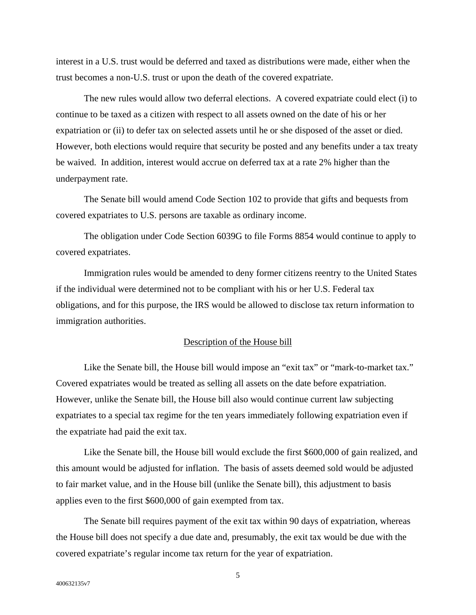interest in a U.S. trust would be deferred and taxed as distributions were made, either when the trust becomes a non-U.S. trust or upon the death of the covered expatriate.

The new rules would allow two deferral elections. A covered expatriate could elect (i) to continue to be taxed as a citizen with respect to all assets owned on the date of his or her expatriation or (ii) to defer tax on selected assets until he or she disposed of the asset or died. However, both elections would require that security be posted and any benefits under a tax treaty be waived. In addition, interest would accrue on deferred tax at a rate 2% higher than the underpayment rate.

The Senate bill would amend Code Section 102 to provide that gifts and bequests from covered expatriates to U.S. persons are taxable as ordinary income.

The obligation under Code Section 6039G to file Forms 8854 would continue to apply to covered expatriates.

Immigration rules would be amended to deny former citizens reentry to the United States if the individual were determined not to be compliant with his or her U.S. Federal tax obligations, and for this purpose, the IRS would be allowed to disclose tax return information to immigration authorities.

# Description of the House bill

Like the Senate bill, the House bill would impose an "exit tax" or "mark-to-market tax." Covered expatriates would be treated as selling all assets on the date before expatriation. However, unlike the Senate bill, the House bill also would continue current law subjecting expatriates to a special tax regime for the ten years immediately following expatriation even if the expatriate had paid the exit tax.

Like the Senate bill, the House bill would exclude the first \$600,000 of gain realized, and this amount would be adjusted for inflation. The basis of assets deemed sold would be adjusted to fair market value, and in the House bill (unlike the Senate bill), this adjustment to basis applies even to the first \$600,000 of gain exempted from tax.

The Senate bill requires payment of the exit tax within 90 days of expatriation, whereas the House bill does not specify a due date and, presumably, the exit tax would be due with the covered expatriate's regular income tax return for the year of expatriation.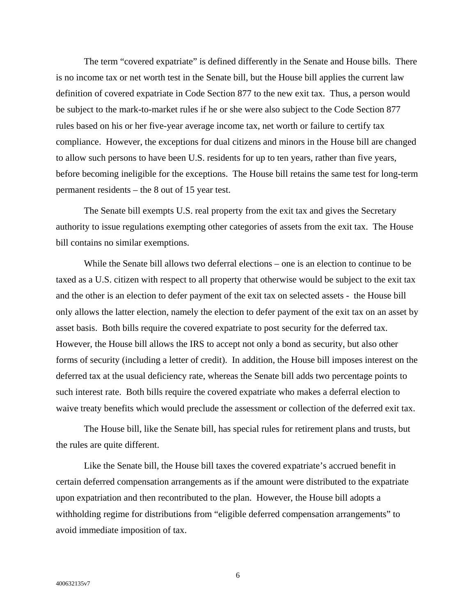The term "covered expatriate" is defined differently in the Senate and House bills. There is no income tax or net worth test in the Senate bill, but the House bill applies the current law definition of covered expatriate in Code Section 877 to the new exit tax. Thus, a person would be subject to the mark-to-market rules if he or she were also subject to the Code Section 877 rules based on his or her five-year average income tax, net worth or failure to certify tax compliance. However, the exceptions for dual citizens and minors in the House bill are changed to allow such persons to have been U.S. residents for up to ten years, rather than five years, before becoming ineligible for the exceptions. The House bill retains the same test for long-term permanent residents – the 8 out of 15 year test.

The Senate bill exempts U.S. real property from the exit tax and gives the Secretary authority to issue regulations exempting other categories of assets from the exit tax. The House bill contains no similar exemptions.

While the Senate bill allows two deferral elections – one is an election to continue to be taxed as a U.S. citizen with respect to all property that otherwise would be subject to the exit tax and the other is an election to defer payment of the exit tax on selected assets - the House bill only allows the latter election, namely the election to defer payment of the exit tax on an asset by asset basis. Both bills require the covered expatriate to post security for the deferred tax. However, the House bill allows the IRS to accept not only a bond as security, but also other forms of security (including a letter of credit). In addition, the House bill imposes interest on the deferred tax at the usual deficiency rate, whereas the Senate bill adds two percentage points to such interest rate. Both bills require the covered expatriate who makes a deferral election to waive treaty benefits which would preclude the assessment or collection of the deferred exit tax.

The House bill, like the Senate bill, has special rules for retirement plans and trusts, but the rules are quite different.

Like the Senate bill, the House bill taxes the covered expatriate's accrued benefit in certain deferred compensation arrangements as if the amount were distributed to the expatriate upon expatriation and then recontributed to the plan. However, the House bill adopts a withholding regime for distributions from "eligible deferred compensation arrangements" to avoid immediate imposition of tax.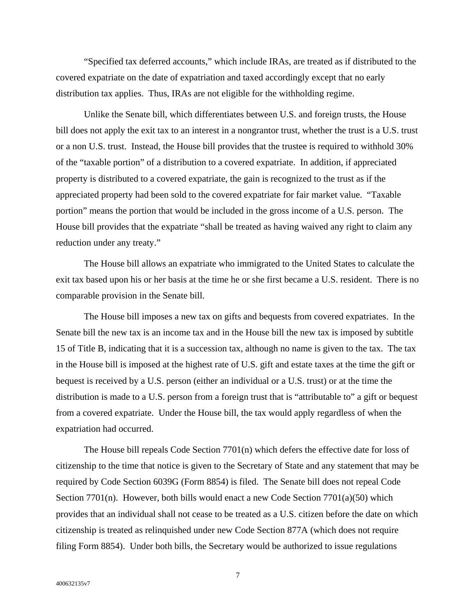"Specified tax deferred accounts," which include IRAs, are treated as if distributed to the covered expatriate on the date of expatriation and taxed accordingly except that no early distribution tax applies. Thus, IRAs are not eligible for the withholding regime.

Unlike the Senate bill, which differentiates between U.S. and foreign trusts, the House bill does not apply the exit tax to an interest in a nongrantor trust, whether the trust is a U.S. trust or a non U.S. trust. Instead, the House bill provides that the trustee is required to withhold 30% of the "taxable portion" of a distribution to a covered expatriate. In addition, if appreciated property is distributed to a covered expatriate, the gain is recognized to the trust as if the appreciated property had been sold to the covered expatriate for fair market value. "Taxable portion" means the portion that would be included in the gross income of a U.S. person. The House bill provides that the expatriate "shall be treated as having waived any right to claim any reduction under any treaty."

The House bill allows an expatriate who immigrated to the United States to calculate the exit tax based upon his or her basis at the time he or she first became a U.S. resident. There is no comparable provision in the Senate bill.

The House bill imposes a new tax on gifts and bequests from covered expatriates. In the Senate bill the new tax is an income tax and in the House bill the new tax is imposed by subtitle 15 of Title B, indicating that it is a succession tax, although no name is given to the tax. The tax in the House bill is imposed at the highest rate of U.S. gift and estate taxes at the time the gift or bequest is received by a U.S. person (either an individual or a U.S. trust) or at the time the distribution is made to a U.S. person from a foreign trust that is "attributable to" a gift or bequest from a covered expatriate. Under the House bill, the tax would apply regardless of when the expatriation had occurred.

The House bill repeals Code Section 7701(n) which defers the effective date for loss of citizenship to the time that notice is given to the Secretary of State and any statement that may be required by Code Section 6039G (Form 8854) is filed. The Senate bill does not repeal Code Section  $7701(n)$ . However, both bills would enact a new Code Section  $7701(a)(50)$  which provides that an individual shall not cease to be treated as a U.S. citizen before the date on which citizenship is treated as relinquished under new Code Section 877A (which does not require filing Form 8854). Under both bills, the Secretary would be authorized to issue regulations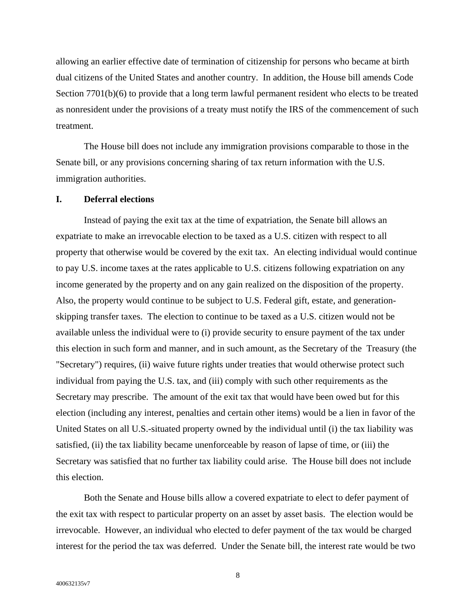allowing an earlier effective date of termination of citizenship for persons who became at birth dual citizens of the United States and another country. In addition, the House bill amends Code Section 7701(b)(6) to provide that a long term lawful permanent resident who elects to be treated as nonresident under the provisions of a treaty must notify the IRS of the commencement of such treatment.

The House bill does not include any immigration provisions comparable to those in the Senate bill, or any provisions concerning sharing of tax return information with the U.S. immigration authorities.

### **I. Deferral elections**

Instead of paying the exit tax at the time of expatriation, the Senate bill allows an expatriate to make an irrevocable election to be taxed as a U.S. citizen with respect to all property that otherwise would be covered by the exit tax. An electing individual would continue to pay U.S. income taxes at the rates applicable to U.S. citizens following expatriation on any income generated by the property and on any gain realized on the disposition of the property. Also, the property would continue to be subject to U.S. Federal gift, estate, and generationskipping transfer taxes. The election to continue to be taxed as a U.S. citizen would not be available unless the individual were to (i) provide security to ensure payment of the tax under this election in such form and manner, and in such amount, as the Secretary of the Treasury (the "Secretary") requires, (ii) waive future rights under treaties that would otherwise protect such individual from paying the U.S. tax, and (iii) comply with such other requirements as the Secretary may prescribe. The amount of the exit tax that would have been owed but for this election (including any interest, penalties and certain other items) would be a lien in favor of the United States on all U.S.-situated property owned by the individual until (i) the tax liability was satisfied, (ii) the tax liability became unenforceable by reason of lapse of time, or (iii) the Secretary was satisfied that no further tax liability could arise. The House bill does not include this election.

Both the Senate and House bills allow a covered expatriate to elect to defer payment of the exit tax with respect to particular property on an asset by asset basis. The election would be irrevocable. However, an individual who elected to defer payment of the tax would be charged interest for the period the tax was deferred. Under the Senate bill, the interest rate would be two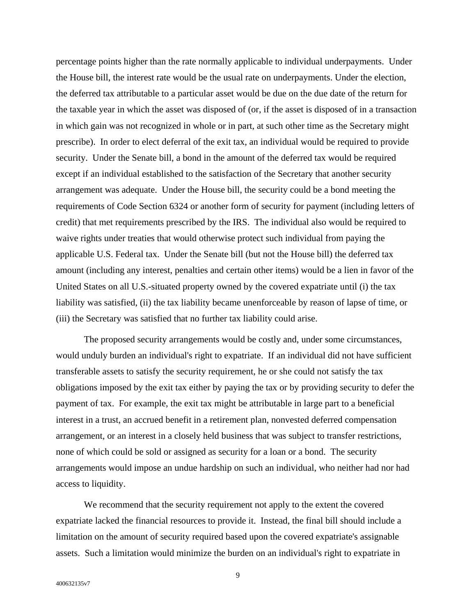percentage points higher than the rate normally applicable to individual underpayments. Under the House bill, the interest rate would be the usual rate on underpayments. Under the election, the deferred tax attributable to a particular asset would be due on the due date of the return for the taxable year in which the asset was disposed of (or, if the asset is disposed of in a transaction in which gain was not recognized in whole or in part, at such other time as the Secretary might prescribe). In order to elect deferral of the exit tax, an individual would be required to provide security. Under the Senate bill, a bond in the amount of the deferred tax would be required except if an individual established to the satisfaction of the Secretary that another security arrangement was adequate. Under the House bill, the security could be a bond meeting the requirements of Code Section 6324 or another form of security for payment (including letters of credit) that met requirements prescribed by the IRS. The individual also would be required to waive rights under treaties that would otherwise protect such individual from paying the applicable U.S. Federal tax. Under the Senate bill (but not the House bill) the deferred tax amount (including any interest, penalties and certain other items) would be a lien in favor of the United States on all U.S.-situated property owned by the covered expatriate until (i) the tax liability was satisfied, (ii) the tax liability became unenforceable by reason of lapse of time, or (iii) the Secretary was satisfied that no further tax liability could arise.

The proposed security arrangements would be costly and, under some circumstances, would unduly burden an individual's right to expatriate. If an individual did not have sufficient transferable assets to satisfy the security requirement, he or she could not satisfy the tax obligations imposed by the exit tax either by paying the tax or by providing security to defer the payment of tax. For example, the exit tax might be attributable in large part to a beneficial interest in a trust, an accrued benefit in a retirement plan, nonvested deferred compensation arrangement, or an interest in a closely held business that was subject to transfer restrictions, none of which could be sold or assigned as security for a loan or a bond. The security arrangements would impose an undue hardship on such an individual, who neither had nor had access to liquidity.

We recommend that the security requirement not apply to the extent the covered expatriate lacked the financial resources to provide it. Instead, the final bill should include a limitation on the amount of security required based upon the covered expatriate's assignable assets. Such a limitation would minimize the burden on an individual's right to expatriate in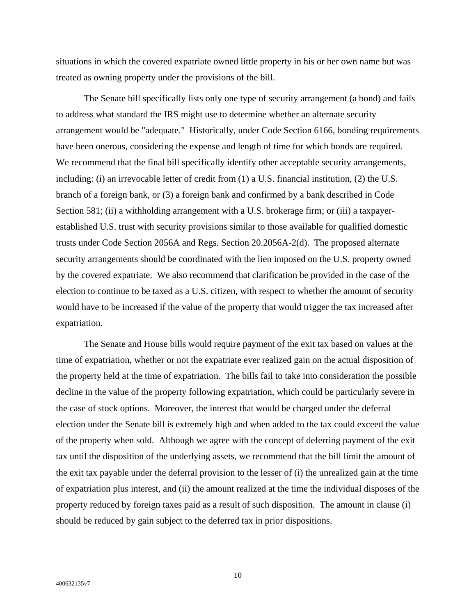situations in which the covered expatriate owned little property in his or her own name but was treated as owning property under the provisions of the bill.

The Senate bill specifically lists only one type of security arrangement (a bond) and fails to address what standard the IRS might use to determine whether an alternate security arrangement would be "adequate." Historically, under Code Section 6166, bonding requirements have been onerous, considering the expense and length of time for which bonds are required. We recommend that the final bill specifically identify other acceptable security arrangements, including: (i) an irrevocable letter of credit from (1) a U.S. financial institution, (2) the U.S. branch of a foreign bank, or (3) a foreign bank and confirmed by a bank described in Code Section 581; (ii) a withholding arrangement with a U.S. brokerage firm; or (iii) a taxpayerestablished U.S. trust with security provisions similar to those available for qualified domestic trusts under Code Section 2056A and Regs. Section 20.2056A-2(d). The proposed alternate security arrangements should be coordinated with the lien imposed on the U.S. property owned by the covered expatriate. We also recommend that clarification be provided in the case of the election to continue to be taxed as a U.S. citizen, with respect to whether the amount of security would have to be increased if the value of the property that would trigger the tax increased after expatriation.

The Senate and House bills would require payment of the exit tax based on values at the time of expatriation, whether or not the expatriate ever realized gain on the actual disposition of the property held at the time of expatriation. The bills fail to take into consideration the possible decline in the value of the property following expatriation, which could be particularly severe in the case of stock options. Moreover, the interest that would be charged under the deferral election under the Senate bill is extremely high and when added to the tax could exceed the value of the property when sold. Although we agree with the concept of deferring payment of the exit tax until the disposition of the underlying assets, we recommend that the bill limit the amount of the exit tax payable under the deferral provision to the lesser of (i) the unrealized gain at the time of expatriation plus interest, and (ii) the amount realized at the time the individual disposes of the property reduced by foreign taxes paid as a result of such disposition. The amount in clause (i) should be reduced by gain subject to the deferred tax in prior dispositions.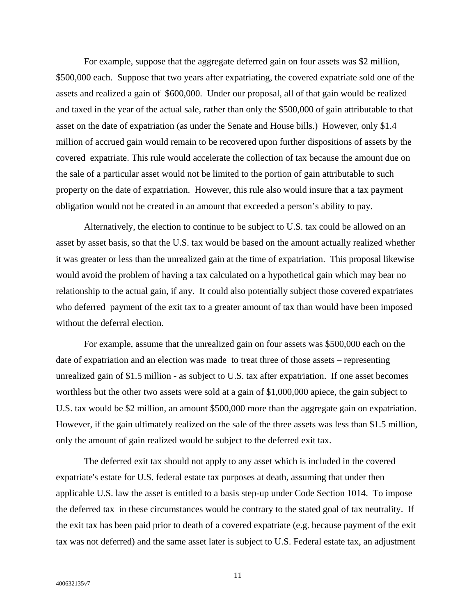For example, suppose that the aggregate deferred gain on four assets was \$2 million, \$500,000 each. Suppose that two years after expatriating, the covered expatriate sold one of the assets and realized a gain of \$600,000. Under our proposal, all of that gain would be realized and taxed in the year of the actual sale, rather than only the \$500,000 of gain attributable to that asset on the date of expatriation (as under the Senate and House bills.) However, only \$1.4 million of accrued gain would remain to be recovered upon further dispositions of assets by the covered expatriate. This rule would accelerate the collection of tax because the amount due on the sale of a particular asset would not be limited to the portion of gain attributable to such property on the date of expatriation. However, this rule also would insure that a tax payment obligation would not be created in an amount that exceeded a person's ability to pay.

Alternatively, the election to continue to be subject to U.S. tax could be allowed on an asset by asset basis, so that the U.S. tax would be based on the amount actually realized whether it was greater or less than the unrealized gain at the time of expatriation. This proposal likewise would avoid the problem of having a tax calculated on a hypothetical gain which may bear no relationship to the actual gain, if any. It could also potentially subject those covered expatriates who deferred payment of the exit tax to a greater amount of tax than would have been imposed without the deferral election.

For example, assume that the unrealized gain on four assets was \$500,000 each on the date of expatriation and an election was made to treat three of those assets – representing unrealized gain of \$1.5 million - as subject to U.S. tax after expatriation. If one asset becomes worthless but the other two assets were sold at a gain of \$1,000,000 apiece, the gain subject to U.S. tax would be \$2 million, an amount \$500,000 more than the aggregate gain on expatriation. However, if the gain ultimately realized on the sale of the three assets was less than \$1.5 million, only the amount of gain realized would be subject to the deferred exit tax.

The deferred exit tax should not apply to any asset which is included in the covered expatriate's estate for U.S. federal estate tax purposes at death, assuming that under then applicable U.S. law the asset is entitled to a basis step-up under Code Section 1014. To impose the deferred tax in these circumstances would be contrary to the stated goal of tax neutrality. If the exit tax has been paid prior to death of a covered expatriate (e.g. because payment of the exit tax was not deferred) and the same asset later is subject to U.S. Federal estate tax, an adjustment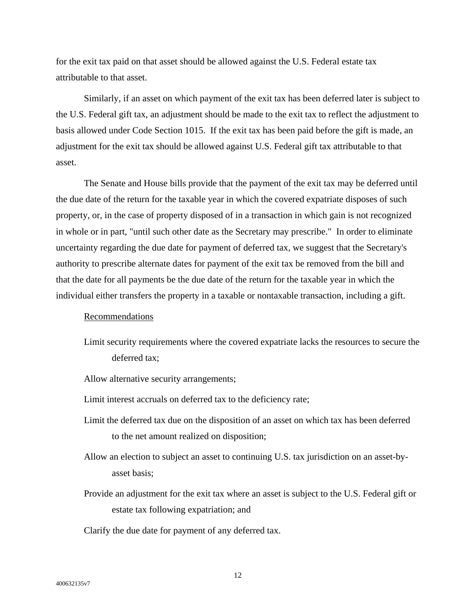for the exit tax paid on that asset should be allowed against the U.S. Federal estate tax attributable to that asset.

Similarly, if an asset on which payment of the exit tax has been deferred later is subject to the U.S. Federal gift tax, an adjustment should be made to the exit tax to reflect the adjustment to basis allowed under Code Section 1015. If the exit tax has been paid before the gift is made, an adjustment for the exit tax should be allowed against U.S. Federal gift tax attributable to that asset.

The Senate and House bills provide that the payment of the exit tax may be deferred until the due date of the return for the taxable year in which the covered expatriate disposes of such property, or, in the case of property disposed of in a transaction in which gain is not recognized in whole or in part, "until such other date as the Secretary may prescribe." In order to eliminate uncertainty regarding the due date for payment of deferred tax, we suggest that the Secretary's authority to prescribe alternate dates for payment of the exit tax be removed from the bill and that the date for all payments be the due date of the return for the taxable year in which the individual either transfers the property in a taxable or nontaxable transaction, including a gift.

### Recommendations

- Limit security requirements where the covered expatriate lacks the resources to secure the deferred tax;
- Allow alternative security arrangements;
- Limit interest accruals on deferred tax to the deficiency rate;
- Limit the deferred tax due on the disposition of an asset on which tax has been deferred to the net amount realized on disposition;
- Allow an election to subject an asset to continuing U.S. tax jurisdiction on an asset-byasset basis;
- Provide an adjustment for the exit tax where an asset is subject to the U.S. Federal gift or estate tax following expatriation; and

Clarify the due date for payment of any deferred tax.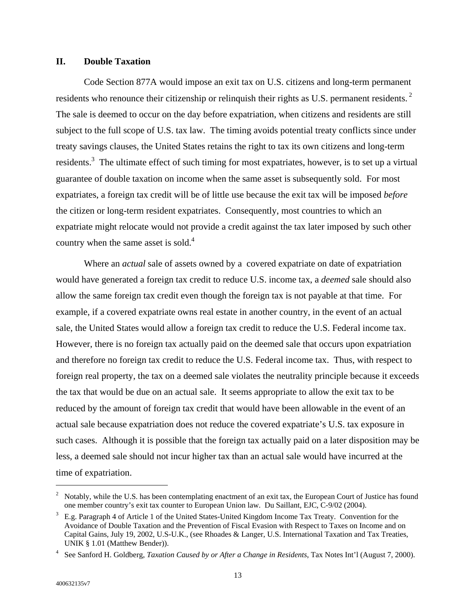# **II. Double Taxation**

Code Section 877A would impose an exit tax on U.S. citizens and long-term permanent residents who renounce their citizenship or relinquish their rights as U.S. permanent residents.<sup>2</sup> The sale is deemed to occur on the day before expatriation, when citizens and residents are still subject to the full scope of U.S. tax law. The timing avoids potential treaty conflicts since under treaty savings clauses, the United States retains the right to tax its own citizens and long-term residents.<sup>[3](#page-14-1)</sup> The ultimate effect of such timing for most expatriates, however, is to set up a virtual guarantee of double taxation on income when the same asset is subsequently sold. For most expatriates, a foreign tax credit will be of little use because the exit tax will be imposed *before* the citizen or long-term resident expatriates. Consequently, most countries to which an expatriate might relocate would not provide a credit against the tax later imposed by such other country when the same asset is sold. $4$ 

Where an *actual* sale of assets owned by a covered expatriate on date of expatriation would have generated a foreign tax credit to reduce U.S. income tax, a *deemed* sale should also allow the same foreign tax credit even though the foreign tax is not payable at that time. For example, if a covered expatriate owns real estate in another country, in the event of an actual sale, the United States would allow a foreign tax credit to reduce the U.S. Federal income tax. However, there is no foreign tax actually paid on the deemed sale that occurs upon expatriation and therefore no foreign tax credit to reduce the U.S. Federal income tax. Thus, with respect to foreign real property, the tax on a deemed sale violates the neutrality principle because it exceeds the tax that would be due on an actual sale. It seems appropriate to allow the exit tax to be reduced by the amount of foreign tax credit that would have been allowable in the event of an actual sale because expatriation does not reduce the covered expatriate's U.S. tax exposure in such cases. Although it is possible that the foreign tax actually paid on a later disposition may be less, a deemed sale should not incur higher tax than an actual sale would have incurred at the time of expatriation.

<u>.</u>

<span id="page-14-0"></span><sup>&</sup>lt;sup>2</sup> Notably, while the U.S. has been contemplating enactment of an exit tax, the European Court of Justice has found one member country's exit tax counter to European Union law. Du Saillant, EJC, C-9/02 (2004). 3

<span id="page-14-1"></span>E.g. Paragraph 4 of Article 1 of the United States-United Kingdom Income Tax Treaty. Convention for the Avoidance of Double Taxation and the Prevention of Fiscal Evasion with Respect to Taxes on Income and on Capital Gains, July 19, 2002, U.S-U.K., (see Rhoades & Langer, U.S. International Taxation and Tax Treaties,

<span id="page-14-2"></span>UNIK § 1.01 (Matthew Bender)). 4 See Sanford H. Goldberg, *Taxation Caused by or After a Change in Residents*, Tax Notes Int'l (August 7, 2000).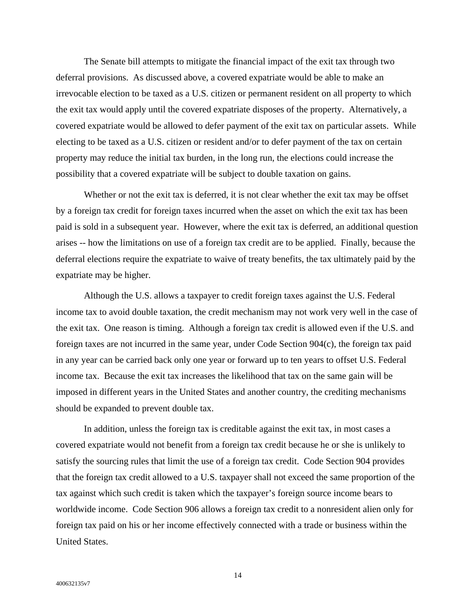The Senate bill attempts to mitigate the financial impact of the exit tax through two deferral provisions. As discussed above, a covered expatriate would be able to make an irrevocable election to be taxed as a U.S. citizen or permanent resident on all property to which the exit tax would apply until the covered expatriate disposes of the property. Alternatively, a covered expatriate would be allowed to defer payment of the exit tax on particular assets. While electing to be taxed as a U.S. citizen or resident and/or to defer payment of the tax on certain property may reduce the initial tax burden, in the long run, the elections could increase the possibility that a covered expatriate will be subject to double taxation on gains.

Whether or not the exit tax is deferred, it is not clear whether the exit tax may be offset by a foreign tax credit for foreign taxes incurred when the asset on which the exit tax has been paid is sold in a subsequent year. However, where the exit tax is deferred, an additional question arises -- how the limitations on use of a foreign tax credit are to be applied. Finally, because the deferral elections require the expatriate to waive of treaty benefits, the tax ultimately paid by the expatriate may be higher.

Although the U.S. allows a taxpayer to credit foreign taxes against the U.S. Federal income tax to avoid double taxation, the credit mechanism may not work very well in the case of the exit tax. One reason is timing. Although a foreign tax credit is allowed even if the U.S. and foreign taxes are not incurred in the same year, under Code Section 904(c), the foreign tax paid in any year can be carried back only one year or forward up to ten years to offset U.S. Federal income tax. Because the exit tax increases the likelihood that tax on the same gain will be imposed in different years in the United States and another country, the crediting mechanisms should be expanded to prevent double tax.

In addition, unless the foreign tax is creditable against the exit tax, in most cases a covered expatriate would not benefit from a foreign tax credit because he or she is unlikely to satisfy the sourcing rules that limit the use of a foreign tax credit. Code Section 904 provides that the foreign tax credit allowed to a U.S. taxpayer shall not exceed the same proportion of the tax against which such credit is taken which the taxpayer's foreign source income bears to worldwide income. Code Section 906 allows a foreign tax credit to a nonresident alien only for foreign tax paid on his or her income effectively connected with a trade or business within the United States.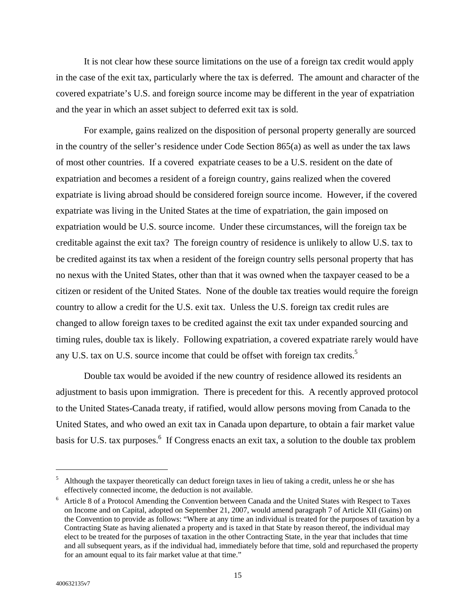It is not clear how these source limitations on the use of a foreign tax credit would apply in the case of the exit tax, particularly where the tax is deferred. The amount and character of the covered expatriate's U.S. and foreign source income may be different in the year of expatriation and the year in which an asset subject to deferred exit tax is sold.

For example, gains realized on the disposition of personal property generally are sourced in the country of the seller's residence under Code Section 865(a) as well as under the tax laws of most other countries. If a covered expatriate ceases to be a U.S. resident on the date of expatriation and becomes a resident of a foreign country, gains realized when the covered expatriate is living abroad should be considered foreign source income. However, if the covered expatriate was living in the United States at the time of expatriation, the gain imposed on expatriation would be U.S. source income. Under these circumstances, will the foreign tax be creditable against the exit tax? The foreign country of residence is unlikely to allow U.S. tax to be credited against its tax when a resident of the foreign country sells personal property that has no nexus with the United States, other than that it was owned when the taxpayer ceased to be a citizen or resident of the United States. None of the double tax treaties would require the foreign country to allow a credit for the U.S. exit tax. Unless the U.S. foreign tax credit rules are changed to allow foreign taxes to be credited against the exit tax under expanded sourcing and timing rules, double tax is likely. Following expatriation, a covered expatriate rarely would have any U.S. tax on U.S. source income that could be offset with foreign tax credits.<sup>5</sup>

Double tax would be avoided if the new country of residence allowed its residents an adjustment to basis upon immigration. There is precedent for this. A recently approved protocol to the United States-Canada treaty, if ratified, would allow persons moving from Canada to the United States, and who owed an exit tax in Canada upon departure, to obtain a fair market value basis for U.S. tax purposes.<sup>6</sup> If Congress enacts an exit tax, a solution to the double tax problem

<span id="page-16-0"></span><sup>&</sup>lt;sup>5</sup> Although the taxpayer theoretically can deduct foreign taxes in lieu of taking a credit, unless he or she has effectively connected income, the deduction is not available. 6

<span id="page-16-1"></span><sup>&</sup>lt;sup>6</sup> Article 8 of a Protocol Amending the Convention between Canada and the United States with Respect to Taxes on Income and on Capital, adopted on September 21, 2007, would amend paragraph 7 of Article XII (Gains) on the Convention to provide as follows: "Where at any time an individual is treated for the purposes of taxation by a Contracting State as having alienated a property and is taxed in that State by reason thereof, the individual may elect to be treated for the purposes of taxation in the other Contracting State, in the year that includes that time and all subsequent years, as if the individual had, immediately before that time, sold and repurchased the property for an amount equal to its fair market value at that time."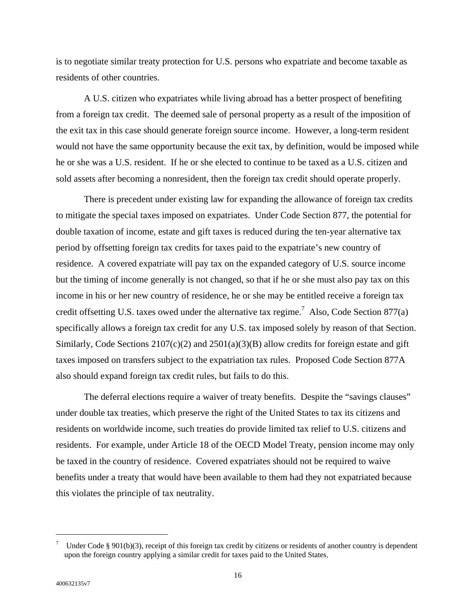is to negotiate similar treaty protection for U.S. persons who expatriate and become taxable as residents of other countries.

A U.S. citizen who expatriates while living abroad has a better prospect of benefiting from a foreign tax credit. The deemed sale of personal property as a result of the imposition of the exit tax in this case should generate foreign source income. However, a long-term resident would not have the same opportunity because the exit tax, by definition, would be imposed while he or she was a U.S. resident. If he or she elected to continue to be taxed as a U.S. citizen and sold assets after becoming a nonresident, then the foreign tax credit should operate properly.

There is precedent under existing law for expanding the allowance of foreign tax credits to mitigate the special taxes imposed on expatriates. Under Code Section 877, the potential for double taxation of income, estate and gift taxes is reduced during the ten-year alternative tax period by offsetting foreign tax credits for taxes paid to the expatriate's new country of residence. A covered expatriate will pay tax on the expanded category of U.S. source income but the timing of income generally is not changed, so that if he or she must also pay tax on this income in his or her new country of residence, he or she may be entitled receive a foreign tax credit offsetting U.S. taxes owed under the alternative tax regime.<sup>[7](#page-17-0)</sup> Also, Code Section 877(a) specifically allows a foreign tax credit for any U.S. tax imposed solely by reason of that Section. Similarly, Code Sections  $2107(c)(2)$  and  $2501(a)(3)(B)$  allow credits for foreign estate and gift taxes imposed on transfers subject to the expatriation tax rules. Proposed Code Section 877A also should expand foreign tax credit rules, but fails to do this.

The deferral elections require a waiver of treaty benefits. Despite the "savings clauses" under double tax treaties, which preserve the right of the United States to tax its citizens and residents on worldwide income, such treaties do provide limited tax relief to U.S. citizens and residents. For example, under Article 18 of the OECD Model Treaty, pension income may only be taxed in the country of residence. Covered expatriates should not be required to waive benefits under a treaty that would have been available to them had they not expatriated because this violates the principle of tax neutrality.

<span id="page-17-0"></span><sup>7</sup> Under Code § 901(b)(3), receipt of this foreign tax credit by citizens or residents of another country is dependent upon the foreign country applying a similar credit for taxes paid to the United States.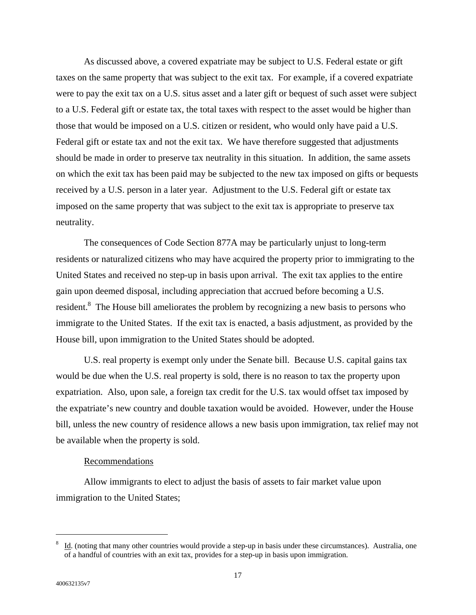As discussed above, a covered expatriate may be subject to U.S. Federal estate or gift taxes on the same property that was subject to the exit tax. For example, if a covered expatriate were to pay the exit tax on a U.S. situs asset and a later gift or bequest of such asset were subject to a U.S. Federal gift or estate tax, the total taxes with respect to the asset would be higher than those that would be imposed on a U.S. citizen or resident, who would only have paid a U.S. Federal gift or estate tax and not the exit tax. We have therefore suggested that adjustments should be made in order to preserve tax neutrality in this situation. In addition, the same assets on which the exit tax has been paid may be subjected to the new tax imposed on gifts or bequests received by a U.S. person in a later year. Adjustment to the U.S. Federal gift or estate tax imposed on the same property that was subject to the exit tax is appropriate to preserve tax neutrality.

The consequences of Code Section 877A may be particularly unjust to long-term residents or naturalized citizens who may have acquired the property prior to immigrating to the United States and received no step-up in basis upon arrival. The exit tax applies to the entire gain upon deemed disposal, including appreciation that accrued before becoming a U.S. resident.<sup>8</sup> The House bill ameliorates the problem by recognizing a new basis to persons who immigrate to the United States. If the exit tax is enacted, a basis adjustment, as provided by the House bill, upon immigration to the United States should be adopted.

U.S. real property is exempt only under the Senate bill. Because U.S. capital gains tax would be due when the U.S. real property is sold, there is no reason to tax the property upon expatriation. Also, upon sale, a foreign tax credit for the U.S. tax would offset tax imposed by the expatriate's new country and double taxation would be avoided. However, under the House bill, unless the new country of residence allows a new basis upon immigration, tax relief may not be available when the property is sold.

### Recommendations

Allow immigrants to elect to adjust the basis of assets to fair market value upon immigration to the United States;

<span id="page-18-0"></span><sup>8</sup> Id. (noting that many other countries would provide a step-up in basis under these circumstances). Australia, one of a handful of countries with an exit tax, provides for a step-up in basis upon immigration.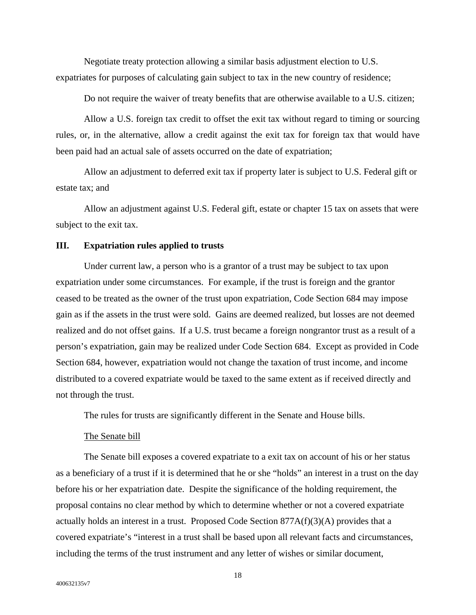Negotiate treaty protection allowing a similar basis adjustment election to U.S. expatriates for purposes of calculating gain subject to tax in the new country of residence;

Do not require the waiver of treaty benefits that are otherwise available to a U.S. citizen;

Allow a U.S. foreign tax credit to offset the exit tax without regard to timing or sourcing rules, or, in the alternative, allow a credit against the exit tax for foreign tax that would have been paid had an actual sale of assets occurred on the date of expatriation;

Allow an adjustment to deferred exit tax if property later is subject to U.S. Federal gift or estate tax; and

Allow an adjustment against U.S. Federal gift, estate or chapter 15 tax on assets that were subject to the exit tax.

## **III. Expatriation rules applied to trusts**

Under current law, a person who is a grantor of a trust may be subject to tax upon expatriation under some circumstances. For example, if the trust is foreign and the grantor ceased to be treated as the owner of the trust upon expatriation, Code Section 684 may impose gain as if the assets in the trust were sold. Gains are deemed realized, but losses are not deemed realized and do not offset gains. If a U.S. trust became a foreign nongrantor trust as a result of a person's expatriation, gain may be realized under Code Section 684. Except as provided in Code Section 684, however, expatriation would not change the taxation of trust income, and income distributed to a covered expatriate would be taxed to the same extent as if received directly and not through the trust.

The rules for trusts are significantly different in the Senate and House bills.

### The Senate bill

The Senate bill exposes a covered expatriate to a exit tax on account of his or her status as a beneficiary of a trust if it is determined that he or she "holds" an interest in a trust on the day before his or her expatriation date. Despite the significance of the holding requirement, the proposal contains no clear method by which to determine whether or not a covered expatriate actually holds an interest in a trust. Proposed Code Section 877A(f)(3)(A) provides that a covered expatriate's "interest in a trust shall be based upon all relevant facts and circumstances, including the terms of the trust instrument and any letter of wishes or similar document,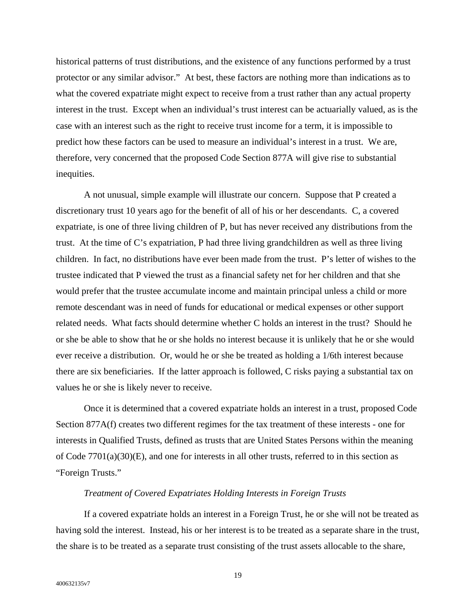historical patterns of trust distributions, and the existence of any functions performed by a trust protector or any similar advisor." At best, these factors are nothing more than indications as to what the covered expatriate might expect to receive from a trust rather than any actual property interest in the trust. Except when an individual's trust interest can be actuarially valued, as is the case with an interest such as the right to receive trust income for a term, it is impossible to predict how these factors can be used to measure an individual's interest in a trust. We are, therefore, very concerned that the proposed Code Section 877A will give rise to substantial inequities.

A not unusual, simple example will illustrate our concern. Suppose that P created a discretionary trust 10 years ago for the benefit of all of his or her descendants. C, a covered expatriate, is one of three living children of P, but has never received any distributions from the trust. At the time of C's expatriation, P had three living grandchildren as well as three living children. In fact, no distributions have ever been made from the trust. P's letter of wishes to the trustee indicated that P viewed the trust as a financial safety net for her children and that she would prefer that the trustee accumulate income and maintain principal unless a child or more remote descendant was in need of funds for educational or medical expenses or other support related needs. What facts should determine whether C holds an interest in the trust? Should he or she be able to show that he or she holds no interest because it is unlikely that he or she would ever receive a distribution. Or, would he or she be treated as holding a 1/6th interest because there are six beneficiaries. If the latter approach is followed, C risks paying a substantial tax on values he or she is likely never to receive.

Once it is determined that a covered expatriate holds an interest in a trust, proposed Code Section 877A(f) creates two different regimes for the tax treatment of these interests - one for interests in Qualified Trusts, defined as trusts that are United States Persons within the meaning of Code 7701(a)(30)(E), and one for interests in all other trusts, referred to in this section as "Foreign Trusts."

#### *Treatment of Covered Expatriates Holding Interests in Foreign Trusts*

If a covered expatriate holds an interest in a Foreign Trust, he or she will not be treated as having sold the interest. Instead, his or her interest is to be treated as a separate share in the trust, the share is to be treated as a separate trust consisting of the trust assets allocable to the share,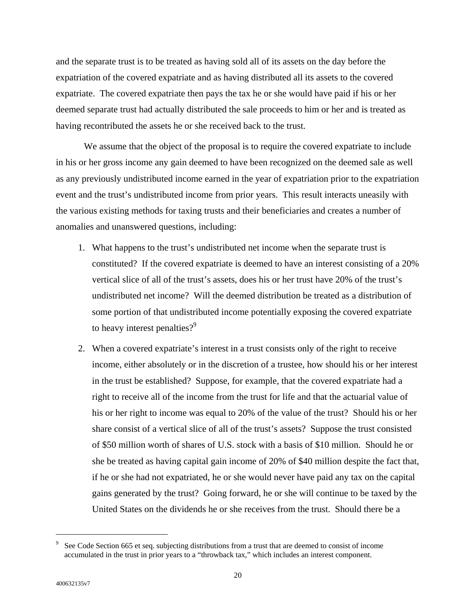and the separate trust is to be treated as having sold all of its assets on the day before the expatriation of the covered expatriate and as having distributed all its assets to the covered expatriate. The covered expatriate then pays the tax he or she would have paid if his or her deemed separate trust had actually distributed the sale proceeds to him or her and is treated as having recontributed the assets he or she received back to the trust.

We assume that the object of the proposal is to require the covered expatriate to include in his or her gross income any gain deemed to have been recognized on the deemed sale as well as any previously undistributed income earned in the year of expatriation prior to the expatriation event and the trust's undistributed income from prior years. This result interacts uneasily with the various existing methods for taxing trusts and their beneficiaries and creates a number of anomalies and unanswered questions, including:

- 1. What happens to the trust's undistributed net income when the separate trust is constituted? If the covered expatriate is deemed to have an interest consisting of a 20% vertical slice of all of the trust's assets, does his or her trust have 20% of the trust's undistributed net income? Will the deemed distribution be treated as a distribution of some portion of that undistributed income potentially exposing the covered expatriate to heavy interest penalties?<sup>[9](#page-21-0)</sup>
- 2. When a covered expatriate's interest in a trust consists only of the right to receive income, either absolutely or in the discretion of a trustee, how should his or her interest in the trust be established? Suppose, for example, that the covered expatriate had a right to receive all of the income from the trust for life and that the actuarial value of his or her right to income was equal to 20% of the value of the trust? Should his or her share consist of a vertical slice of all of the trust's assets? Suppose the trust consisted of \$50 million worth of shares of U.S. stock with a basis of \$10 million. Should he or she be treated as having capital gain income of 20% of \$40 million despite the fact that, if he or she had not expatriated, he or she would never have paid any tax on the capital gains generated by the trust? Going forward, he or she will continue to be taxed by the United States on the dividends he or she receives from the trust. Should there be a

<span id="page-21-0"></span><sup>9</sup> See Code Section 665 et seq. subjecting distributions from a trust that are deemed to consist of income accumulated in the trust in prior years to a "throwback tax," which includes an interest component.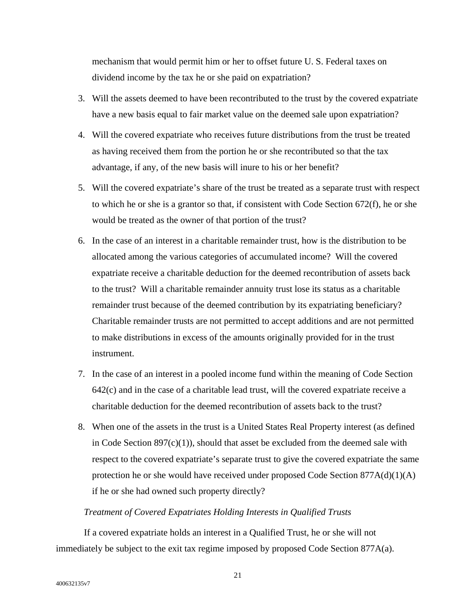mechanism that would permit him or her to offset future U. S. Federal taxes on dividend income by the tax he or she paid on expatriation?

- 3. Will the assets deemed to have been recontributed to the trust by the covered expatriate have a new basis equal to fair market value on the deemed sale upon expatriation?
- 4. Will the covered expatriate who receives future distributions from the trust be treated as having received them from the portion he or she recontributed so that the tax advantage, if any, of the new basis will inure to his or her benefit?
- 5. Will the covered expatriate's share of the trust be treated as a separate trust with respect to which he or she is a grantor so that, if consistent with Code Section 672(f), he or she would be treated as the owner of that portion of the trust?
- 6. In the case of an interest in a charitable remainder trust, how is the distribution to be allocated among the various categories of accumulated income? Will the covered expatriate receive a charitable deduction for the deemed recontribution of assets back to the trust? Will a charitable remainder annuity trust lose its status as a charitable remainder trust because of the deemed contribution by its expatriating beneficiary? Charitable remainder trusts are not permitted to accept additions and are not permitted to make distributions in excess of the amounts originally provided for in the trust instrument.
- 7. In the case of an interest in a pooled income fund within the meaning of Code Section 642(c) and in the case of a charitable lead trust, will the covered expatriate receive a charitable deduction for the deemed recontribution of assets back to the trust?
- 8. When one of the assets in the trust is a United States Real Property interest (as defined in Code Section  $897(c)(1)$ , should that asset be excluded from the deemed sale with respect to the covered expatriate's separate trust to give the covered expatriate the same protection he or she would have received under proposed Code Section 877A(d)(1)(A) if he or she had owned such property directly?

# *Treatment of Covered Expatriates Holding Interests in Qualified Trusts*

If a covered expatriate holds an interest in a Qualified Trust, he or she will not immediately be subject to the exit tax regime imposed by proposed Code Section 877A(a).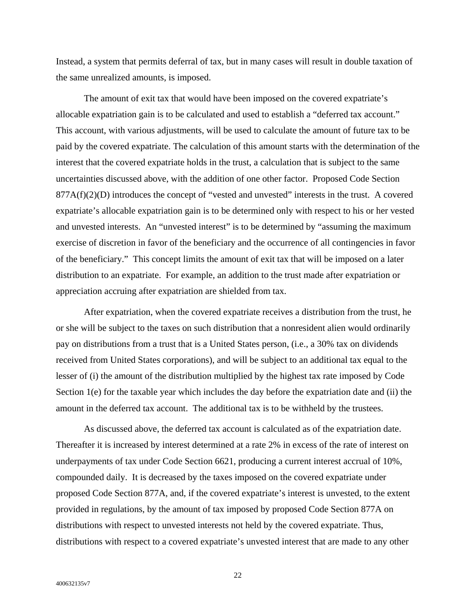Instead, a system that permits deferral of tax, but in many cases will result in double taxation of the same unrealized amounts, is imposed.

The amount of exit tax that would have been imposed on the covered expatriate's allocable expatriation gain is to be calculated and used to establish a "deferred tax account." This account, with various adjustments, will be used to calculate the amount of future tax to be paid by the covered expatriate. The calculation of this amount starts with the determination of the interest that the covered expatriate holds in the trust, a calculation that is subject to the same uncertainties discussed above, with the addition of one other factor. Proposed Code Section  $877A(f)(2)(D)$  introduces the concept of "vested and unvested" interests in the trust. A covered expatriate's allocable expatriation gain is to be determined only with respect to his or her vested and unvested interests. An "unvested interest" is to be determined by "assuming the maximum exercise of discretion in favor of the beneficiary and the occurrence of all contingencies in favor of the beneficiary." This concept limits the amount of exit tax that will be imposed on a later distribution to an expatriate. For example, an addition to the trust made after expatriation or appreciation accruing after expatriation are shielded from tax.

After expatriation, when the covered expatriate receives a distribution from the trust, he or she will be subject to the taxes on such distribution that a nonresident alien would ordinarily pay on distributions from a trust that is a United States person, (i.e., a 30% tax on dividends received from United States corporations), and will be subject to an additional tax equal to the lesser of (i) the amount of the distribution multiplied by the highest tax rate imposed by Code Section 1(e) for the taxable year which includes the day before the expatriation date and (ii) the amount in the deferred tax account. The additional tax is to be withheld by the trustees.

As discussed above, the deferred tax account is calculated as of the expatriation date. Thereafter it is increased by interest determined at a rate 2% in excess of the rate of interest on underpayments of tax under Code Section 6621, producing a current interest accrual of 10%, compounded daily. It is decreased by the taxes imposed on the covered expatriate under proposed Code Section 877A, and, if the covered expatriate's interest is unvested, to the extent provided in regulations, by the amount of tax imposed by proposed Code Section 877A on distributions with respect to unvested interests not held by the covered expatriate. Thus, distributions with respect to a covered expatriate's unvested interest that are made to any other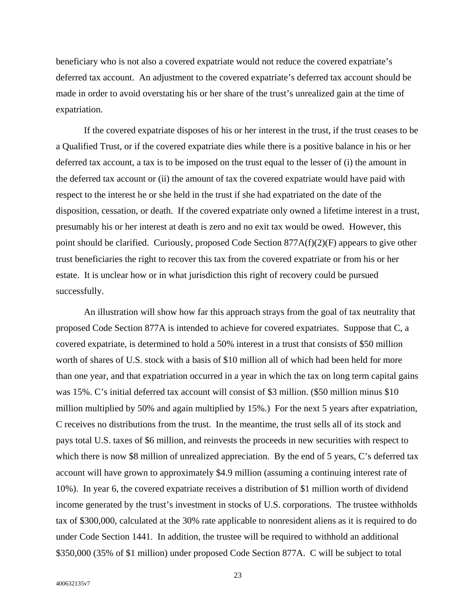beneficiary who is not also a covered expatriate would not reduce the covered expatriate's deferred tax account. An adjustment to the covered expatriate's deferred tax account should be made in order to avoid overstating his or her share of the trust's unrealized gain at the time of expatriation.

If the covered expatriate disposes of his or her interest in the trust, if the trust ceases to be a Qualified Trust, or if the covered expatriate dies while there is a positive balance in his or her deferred tax account, a tax is to be imposed on the trust equal to the lesser of (i) the amount in the deferred tax account or (ii) the amount of tax the covered expatriate would have paid with respect to the interest he or she held in the trust if she had expatriated on the date of the disposition, cessation, or death. If the covered expatriate only owned a lifetime interest in a trust, presumably his or her interest at death is zero and no exit tax would be owed. However, this point should be clarified. Curiously, proposed Code Section 877A(f)(2)(F) appears to give other trust beneficiaries the right to recover this tax from the covered expatriate or from his or her estate. It is unclear how or in what jurisdiction this right of recovery could be pursued successfully.

An illustration will show how far this approach strays from the goal of tax neutrality that proposed Code Section 877A is intended to achieve for covered expatriates. Suppose that C, a covered expatriate, is determined to hold a 50% interest in a trust that consists of \$50 million worth of shares of U.S. stock with a basis of \$10 million all of which had been held for more than one year, and that expatriation occurred in a year in which the tax on long term capital gains was 15%. C's initial deferred tax account will consist of \$3 million. (\$50 million minus \$10 million multiplied by 50% and again multiplied by 15%.) For the next 5 years after expatriation, C receives no distributions from the trust. In the meantime, the trust sells all of its stock and pays total U.S. taxes of \$6 million, and reinvests the proceeds in new securities with respect to which there is now \$8 million of unrealized appreciation. By the end of 5 years, C's deferred tax account will have grown to approximately \$4.9 million (assuming a continuing interest rate of 10%). In year 6, the covered expatriate receives a distribution of \$1 million worth of dividend income generated by the trust's investment in stocks of U.S. corporations. The trustee withholds tax of \$300,000, calculated at the 30% rate applicable to nonresident aliens as it is required to do under Code Section 1441. In addition, the trustee will be required to withhold an additional \$350,000 (35% of \$1 million) under proposed Code Section 877A. C will be subject to total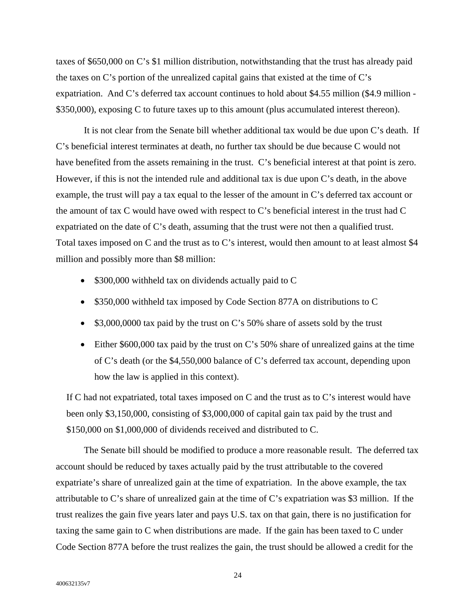taxes of \$650,000 on C's \$1 million distribution, notwithstanding that the trust has already paid the taxes on C's portion of the unrealized capital gains that existed at the time of C's expatriation. And C's deferred tax account continues to hold about \$4.55 million (\$4.9 million - \$350,000), exposing C to future taxes up to this amount (plus accumulated interest thereon).

It is not clear from the Senate bill whether additional tax would be due upon C's death. If C's beneficial interest terminates at death, no further tax should be due because C would not have benefited from the assets remaining in the trust. C's beneficial interest at that point is zero. However, if this is not the intended rule and additional tax is due upon C's death, in the above example, the trust will pay a tax equal to the lesser of the amount in C's deferred tax account or the amount of tax C would have owed with respect to C's beneficial interest in the trust had C expatriated on the date of C's death, assuming that the trust were not then a qualified trust. Total taxes imposed on C and the trust as to C's interest, would then amount to at least almost \$4 million and possibly more than \$8 million:

- \$300,000 withheld tax on dividends actually paid to C
- \$350,000 withheld tax imposed by Code Section 877A on distributions to C
- \$3,000,0000 tax paid by the trust on C's 50% share of assets sold by the trust
- Either \$600,000 tax paid by the trust on C's 50% share of unrealized gains at the time of C's death (or the \$4,550,000 balance of C's deferred tax account, depending upon how the law is applied in this context).

If C had not expatriated, total taxes imposed on C and the trust as to C's interest would have been only \$3,150,000, consisting of \$3,000,000 of capital gain tax paid by the trust and \$150,000 on \$1,000,000 of dividends received and distributed to C.

The Senate bill should be modified to produce a more reasonable result. The deferred tax account should be reduced by taxes actually paid by the trust attributable to the covered expatriate's share of unrealized gain at the time of expatriation. In the above example, the tax attributable to C's share of unrealized gain at the time of C's expatriation was \$3 million. If the trust realizes the gain five years later and pays U.S. tax on that gain, there is no justification for taxing the same gain to C when distributions are made. If the gain has been taxed to C under Code Section 877A before the trust realizes the gain, the trust should be allowed a credit for the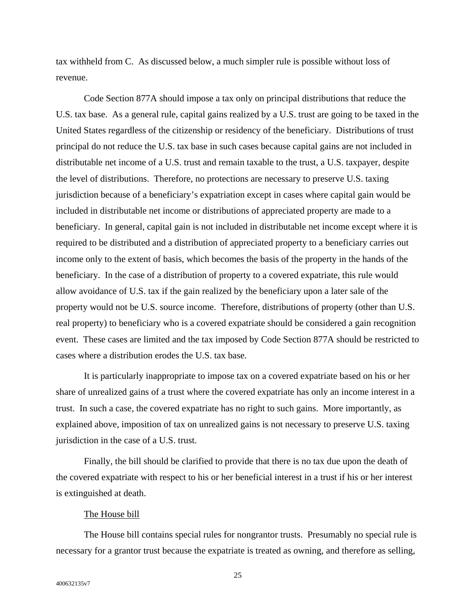tax withheld from C. As discussed below, a much simpler rule is possible without loss of revenue.

Code Section 877A should impose a tax only on principal distributions that reduce the U.S. tax base. As a general rule, capital gains realized by a U.S. trust are going to be taxed in the United States regardless of the citizenship or residency of the beneficiary. Distributions of trust principal do not reduce the U.S. tax base in such cases because capital gains are not included in distributable net income of a U.S. trust and remain taxable to the trust, a U.S. taxpayer, despite the level of distributions. Therefore, no protections are necessary to preserve U.S. taxing jurisdiction because of a beneficiary's expatriation except in cases where capital gain would be included in distributable net income or distributions of appreciated property are made to a beneficiary. In general, capital gain is not included in distributable net income except where it is required to be distributed and a distribution of appreciated property to a beneficiary carries out income only to the extent of basis, which becomes the basis of the property in the hands of the beneficiary. In the case of a distribution of property to a covered expatriate, this rule would allow avoidance of U.S. tax if the gain realized by the beneficiary upon a later sale of the property would not be U.S. source income. Therefore, distributions of property (other than U.S. real property) to beneficiary who is a covered expatriate should be considered a gain recognition event. These cases are limited and the tax imposed by Code Section 877A should be restricted to cases where a distribution erodes the U.S. tax base.

It is particularly inappropriate to impose tax on a covered expatriate based on his or her share of unrealized gains of a trust where the covered expatriate has only an income interest in a trust. In such a case, the covered expatriate has no right to such gains. More importantly, as explained above, imposition of tax on unrealized gains is not necessary to preserve U.S. taxing jurisdiction in the case of a U.S. trust.

Finally, the bill should be clarified to provide that there is no tax due upon the death of the covered expatriate with respect to his or her beneficial interest in a trust if his or her interest is extinguished at death.

### The House bill

The House bill contains special rules for nongrantor trusts. Presumably no special rule is necessary for a grantor trust because the expatriate is treated as owning, and therefore as selling,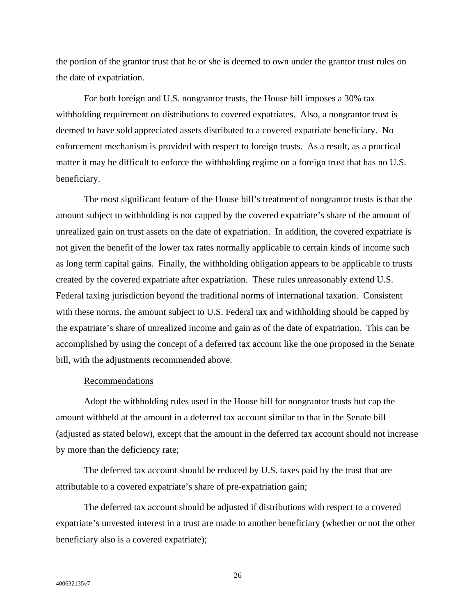the portion of the grantor trust that he or she is deemed to own under the grantor trust rules on the date of expatriation.

For both foreign and U.S. nongrantor trusts, the House bill imposes a 30% tax withholding requirement on distributions to covered expatriates. Also, a nongrantor trust is deemed to have sold appreciated assets distributed to a covered expatriate beneficiary. No enforcement mechanism is provided with respect to foreign trusts. As a result, as a practical matter it may be difficult to enforce the withholding regime on a foreign trust that has no U.S. beneficiary.

The most significant feature of the House bill's treatment of nongrantor trusts is that the amount subject to withholding is not capped by the covered expatriate's share of the amount of unrealized gain on trust assets on the date of expatriation. In addition, the covered expatriate is not given the benefit of the lower tax rates normally applicable to certain kinds of income such as long term capital gains. Finally, the withholding obligation appears to be applicable to trusts created by the covered expatriate after expatriation. These rules unreasonably extend U.S. Federal taxing jurisdiction beyond the traditional norms of international taxation. Consistent with these norms, the amount subject to U.S. Federal tax and withholding should be capped by the expatriate's share of unrealized income and gain as of the date of expatriation. This can be accomplished by using the concept of a deferred tax account like the one proposed in the Senate bill, with the adjustments recommended above.

#### Recommendations

Adopt the withholding rules used in the House bill for nongrantor trusts but cap the amount withheld at the amount in a deferred tax account similar to that in the Senate bill (adjusted as stated below), except that the amount in the deferred tax account should not increase by more than the deficiency rate;

The deferred tax account should be reduced by U.S. taxes paid by the trust that are attributable to a covered expatriate's share of pre-expatriation gain;

The deferred tax account should be adjusted if distributions with respect to a covered expatriate's unvested interest in a trust are made to another beneficiary (whether or not the other beneficiary also is a covered expatriate);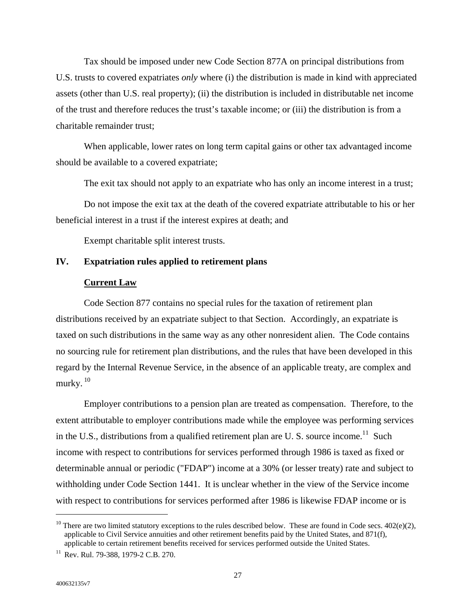Tax should be imposed under new Code Section 877A on principal distributions from U.S. trusts to covered expatriates *only* where (i) the distribution is made in kind with appreciated assets (other than U.S. real property); (ii) the distribution is included in distributable net income of the trust and therefore reduces the trust's taxable income; or (iii) the distribution is from a charitable remainder trust;

When applicable, lower rates on long term capital gains or other tax advantaged income should be available to a covered expatriate;

The exit tax should not apply to an expatriate who has only an income interest in a trust;

Do not impose the exit tax at the death of the covered expatriate attributable to his or her beneficial interest in a trust if the interest expires at death; and

Exempt charitable split interest trusts.

# **IV. Expatriation rules applied to retirement plans**

### **Current Law**

Code Section 877 contains no special rules for the taxation of retirement plan distributions received by an expatriate subject to that Section. Accordingly, an expatriate is taxed on such distributions in the same way as any other nonresident alien. The Code contains no sourcing rule for retirement plan distributions, and the rules that have been developed in this regard by the Internal Revenue Service, in the absence of an applicable treaty, are complex and murky. [10](#page-28-0)

Employer contributions to a pension plan are treated as compensation. Therefore, to the extent attributable to employer contributions made while the employee was performing services in the U.S., distributions from a qualified retirement plan are U.S. source income.<sup>11</sup> Such income with respect to contributions for services performed through 1986 is taxed as fixed or determinable annual or periodic ("FDAP") income at a 30% (or lesser treaty) rate and subject to withholding under Code Section 1441. It is unclear whether in the view of the Service income with respect to contributions for services performed after 1986 is likewise FDAP income or is

<span id="page-28-0"></span><sup>&</sup>lt;sup>10</sup> There are two limited statutory exceptions to the rules described below. These are found in Code secs.  $402(e)(2)$ , applicable to Civil Service annuities and other retirement benefits paid by the United States, and 871(f), applicable to certain retirement benefits received for services performed outside the United States. 11 Rev. Rul. 79-388, 1979-2 C.B. 270.

<span id="page-28-1"></span>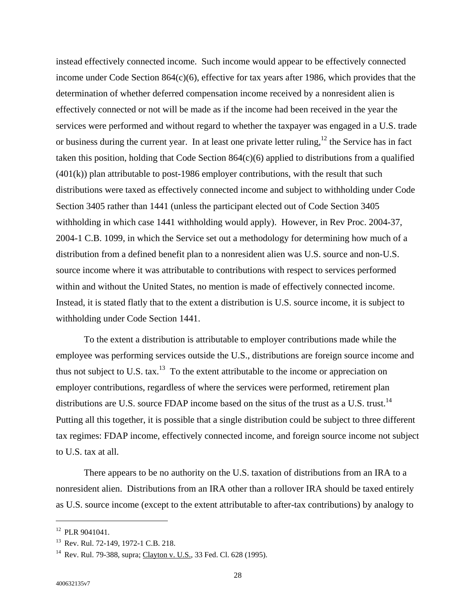instead effectively connected income. Such income would appear to be effectively connected income under Code Section 864(c)(6), effective for tax years after 1986, which provides that the determination of whether deferred compensation income received by a nonresident alien is effectively connected or not will be made as if the income had been received in the year the services were performed and without regard to whether the taxpayer was engaged in a U.S. trade or business during the current year. In at least one private letter ruling, $12$  the Service has in fact taken this position, holding that Code Section  $864(c)(6)$  applied to distributions from a qualified (401(k)) plan attributable to post-1986 employer contributions, with the result that such distributions were taxed as effectively connected income and subject to withholding under Code Section 3405 rather than 1441 (unless the participant elected out of Code Section 3405 withholding in which case 1441 withholding would apply). However, in Rev Proc. 2004-37, 2004-1 C.B. 1099, in which the Service set out a methodology for determining how much of a distribution from a defined benefit plan to a nonresident alien was U.S. source and non-U.S. source income where it was attributable to contributions with respect to services performed within and without the United States, no mention is made of effectively connected income. Instead, it is stated flatly that to the extent a distribution is U.S. source income, it is subject to withholding under Code Section 1441.

To the extent a distribution is attributable to employer contributions made while the employee was performing services outside the U.S., distributions are foreign source income and thus not subject to U.S. tax.<sup>13</sup> To the extent attributable to the income or appreciation on employer contributions, regardless of where the services were performed, retirement plan distributions are U.S. source FDAP income based on the situs of the trust as a U.S. trust.<sup>14</sup> Putting all this together, it is possible that a single distribution could be subject to three different tax regimes: FDAP income, effectively connected income, and foreign source income not subject to U.S. tax at all.

There appears to be no authority on the U.S. taxation of distributions from an IRA to a nonresident alien. Distributions from an IRA other than a rollover IRA should be taxed entirely as U.S. source income (except to the extent attributable to after-tax contributions) by analogy to

<span id="page-29-0"></span> $12$  PLR 9041041.

<span id="page-29-2"></span><span id="page-29-1"></span>

<sup>&</sup>lt;sup>13</sup> Rev. Rul. 72-149, 1972-1 C.B. 218.<br><sup>14</sup> Rev. Rul. 79-388, supra; Clayton v. U.S., 33 Fed. Cl. 628 (1995).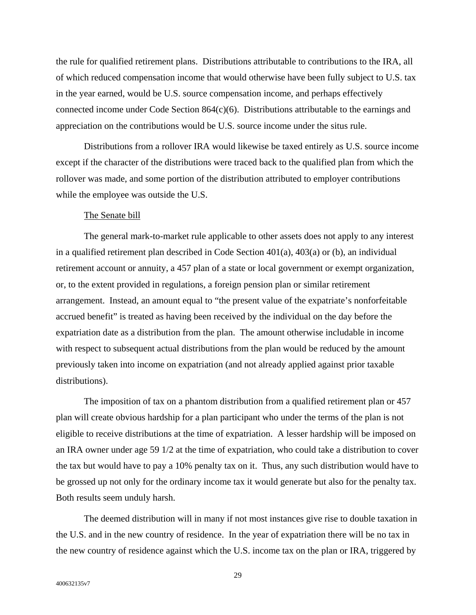the rule for qualified retirement plans. Distributions attributable to contributions to the IRA, all of which reduced compensation income that would otherwise have been fully subject to U.S. tax in the year earned, would be U.S. source compensation income, and perhaps effectively connected income under Code Section 864(c)(6). Distributions attributable to the earnings and appreciation on the contributions would be U.S. source income under the situs rule.

Distributions from a rollover IRA would likewise be taxed entirely as U.S. source income except if the character of the distributions were traced back to the qualified plan from which the rollover was made, and some portion of the distribution attributed to employer contributions while the employee was outside the U.S.

#### The Senate bill

The general mark-to-market rule applicable to other assets does not apply to any interest in a qualified retirement plan described in Code Section 401(a), 403(a) or (b), an individual retirement account or annuity, a 457 plan of a state or local government or exempt organization, or, to the extent provided in regulations, a foreign pension plan or similar retirement arrangement. Instead, an amount equal to "the present value of the expatriate's nonforfeitable accrued benefit" is treated as having been received by the individual on the day before the expatriation date as a distribution from the plan. The amount otherwise includable in income with respect to subsequent actual distributions from the plan would be reduced by the amount previously taken into income on expatriation (and not already applied against prior taxable distributions).

The imposition of tax on a phantom distribution from a qualified retirement plan or 457 plan will create obvious hardship for a plan participant who under the terms of the plan is not eligible to receive distributions at the time of expatriation. A lesser hardship will be imposed on an IRA owner under age 59 1/2 at the time of expatriation, who could take a distribution to cover the tax but would have to pay a 10% penalty tax on it. Thus, any such distribution would have to be grossed up not only for the ordinary income tax it would generate but also for the penalty tax. Both results seem unduly harsh.

The deemed distribution will in many if not most instances give rise to double taxation in the U.S. and in the new country of residence. In the year of expatriation there will be no tax in the new country of residence against which the U.S. income tax on the plan or IRA, triggered by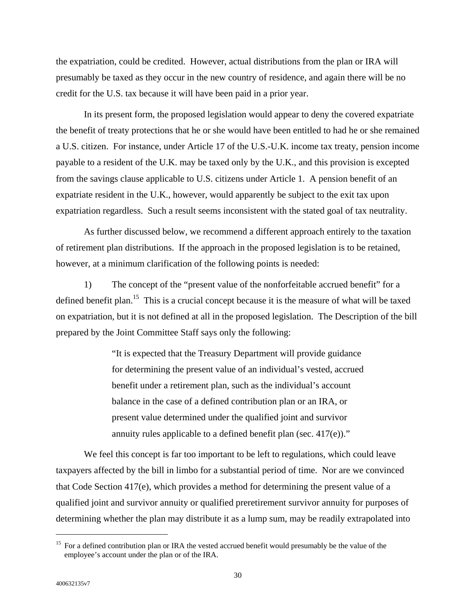the expatriation, could be credited. However, actual distributions from the plan or IRA will presumably be taxed as they occur in the new country of residence, and again there will be no credit for the U.S. tax because it will have been paid in a prior year.

In its present form, the proposed legislation would appear to deny the covered expatriate the benefit of treaty protections that he or she would have been entitled to had he or she remained a U.S. citizen. For instance, under Article 17 of the U.S.-U.K. income tax treaty, pension income payable to a resident of the U.K. may be taxed only by the U.K., and this provision is excepted from the savings clause applicable to U.S. citizens under Article 1. A pension benefit of an expatriate resident in the U.K., however, would apparently be subject to the exit tax upon expatriation regardless. Such a result seems inconsistent with the stated goal of tax neutrality.

As further discussed below, we recommend a different approach entirely to the taxation of retirement plan distributions. If the approach in the proposed legislation is to be retained, however, at a minimum clarification of the following points is needed:

1) The concept of the "present value of the nonforfeitable accrued benefit" for a defined benefit plan.<sup>15</sup> This is a crucial concept because it is the measure of what will be taxed on expatriation, but it is not defined at all in the proposed legislation. The Description of the bill prepared by the Joint Committee Staff says only the following:

> "It is expected that the Treasury Department will provide guidance for determining the present value of an individual's vested, accrued benefit under a retirement plan, such as the individual's account balance in the case of a defined contribution plan or an IRA, or present value determined under the qualified joint and survivor annuity rules applicable to a defined benefit plan (sec. 417(e))."

We feel this concept is far too important to be left to regulations, which could leave taxpayers affected by the bill in limbo for a substantial period of time. Nor are we convinced that Code Section 417(e), which provides a method for determining the present value of a qualified joint and survivor annuity or qualified preretirement survivor annuity for purposes of determining whether the plan may distribute it as a lump sum, may be readily extrapolated into

<span id="page-31-0"></span><sup>&</sup>lt;sup>15</sup> For a defined contribution plan or IRA the vested accrued benefit would presumably be the value of the employee's account under the plan or of the IRA.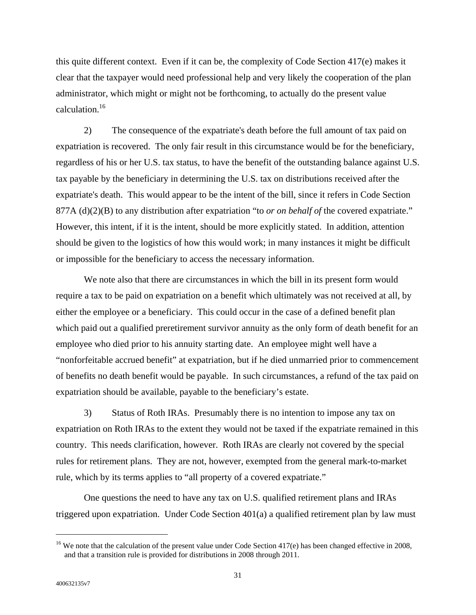this quite different context. Even if it can be, the complexity of Code Section  $417(e)$  makes it clear that the taxpayer would need professional help and very likely the cooperation of the plan administrator, which might or might not be forthcoming, to actually do the present value calculation.[16](#page-32-0) 

2) The consequence of the expatriate's death before the full amount of tax paid on expatriation is recovered. The only fair result in this circumstance would be for the beneficiary, regardless of his or her U.S. tax status, to have the benefit of the outstanding balance against U.S. tax payable by the beneficiary in determining the U.S. tax on distributions received after the expatriate's death. This would appear to be the intent of the bill, since it refers in Code Section 877A (d)(2)(B) to any distribution after expatriation "to *or on behalf of* the covered expatriate." However, this intent, if it is the intent, should be more explicitly stated. In addition, attention should be given to the logistics of how this would work; in many instances it might be difficult or impossible for the beneficiary to access the necessary information.

We note also that there are circumstances in which the bill in its present form would require a tax to be paid on expatriation on a benefit which ultimately was not received at all, by either the employee or a beneficiary. This could occur in the case of a defined benefit plan which paid out a qualified preretirement survivor annuity as the only form of death benefit for an employee who died prior to his annuity starting date. An employee might well have a "nonforfeitable accrued benefit" at expatriation, but if he died unmarried prior to commencement of benefits no death benefit would be payable. In such circumstances, a refund of the tax paid on expatriation should be available, payable to the beneficiary's estate.

3) Status of Roth IRAs. Presumably there is no intention to impose any tax on expatriation on Roth IRAs to the extent they would not be taxed if the expatriate remained in this country. This needs clarification, however. Roth IRAs are clearly not covered by the special rules for retirement plans. They are not, however, exempted from the general mark-to-market rule, which by its terms applies to "all property of a covered expatriate."

One questions the need to have any tax on U.S. qualified retirement plans and IRAs triggered upon expatriation. Under Code Section 401(a) a qualified retirement plan by law must

<span id="page-32-0"></span> $16$  We note that the calculation of the present value under Code Section 417(e) has been changed effective in 2008, and that a transition rule is provided for distributions in 2008 through 2011.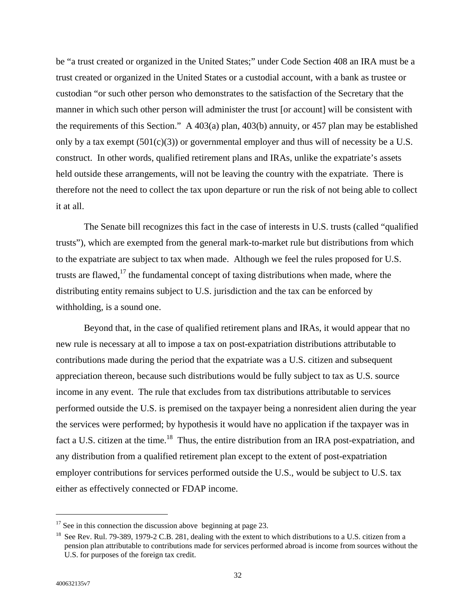be "a trust created or organized in the United States;" under Code Section 408 an IRA must be a trust created or organized in the United States or a custodial account, with a bank as trustee or custodian "or such other person who demonstrates to the satisfaction of the Secretary that the manner in which such other person will administer the trust [or account] will be consistent with the requirements of this Section." A 403(a) plan, 403(b) annuity, or 457 plan may be established only by a tax exempt  $(501(c)(3))$  or governmental employer and thus will of necessity be a U.S. construct. In other words, qualified retirement plans and IRAs, unlike the expatriate's assets held outside these arrangements, will not be leaving the country with the expatriate. There is therefore not the need to collect the tax upon departure or run the risk of not being able to collect it at all.

The Senate bill recognizes this fact in the case of interests in U.S. trusts (called "qualified trusts"), which are exempted from the general mark-to-market rule but distributions from which to the expatriate are subject to tax when made. Although we feel the rules proposed for U.S. trusts are flawed, $17$  the fundamental concept of taxing distributions when made, where the distributing entity remains subject to U.S. jurisdiction and the tax can be enforced by withholding, is a sound one.

Beyond that, in the case of qualified retirement plans and IRAs, it would appear that no new rule is necessary at all to impose a tax on post-expatriation distributions attributable to contributions made during the period that the expatriate was a U.S. citizen and subsequent appreciation thereon, because such distributions would be fully subject to tax as U.S. source income in any event. The rule that excludes from tax distributions attributable to services performed outside the U.S. is premised on the taxpayer being a nonresident alien during the year the services were performed; by hypothesis it would have no application if the taxpayer was in fact a U.S. citizen at the time.<sup>18</sup> Thus, the entire distribution from an IRA post-expatriation, and any distribution from a qualified retirement plan except to the extent of post-expatriation employer contributions for services performed outside the U.S., would be subject to U.S. tax either as effectively connected or FDAP income.

<span id="page-33-0"></span> $17$  See in this connection the discussion above beginning at page 23.

<span id="page-33-1"></span><sup>&</sup>lt;sup>18</sup> See Rev. Rul. 79-389, 1979-2 C.B. 281, dealing with the extent to which distributions to a U.S. citizen from a pension plan attributable to contributions made for services performed abroad is income from sources without the U.S. for purposes of the foreign tax credit.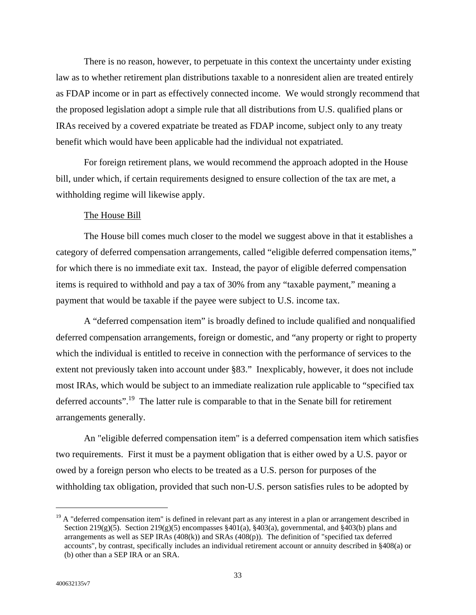There is no reason, however, to perpetuate in this context the uncertainty under existing law as to whether retirement plan distributions taxable to a nonresident alien are treated entirely as FDAP income or in part as effectively connected income. We would strongly recommend that the proposed legislation adopt a simple rule that all distributions from U.S. qualified plans or IRAs received by a covered expatriate be treated as FDAP income, subject only to any treaty benefit which would have been applicable had the individual not expatriated.

For foreign retirement plans, we would recommend the approach adopted in the House bill, under which, if certain requirements designed to ensure collection of the tax are met, a withholding regime will likewise apply.

## The House Bill

The House bill comes much closer to the model we suggest above in that it establishes a category of deferred compensation arrangements, called "eligible deferred compensation items," for which there is no immediate exit tax. Instead, the payor of eligible deferred compensation items is required to withhold and pay a tax of 30% from any "taxable payment," meaning a payment that would be taxable if the payee were subject to U.S. income tax.

A "deferred compensation item" is broadly defined to include qualified and nonqualified deferred compensation arrangements, foreign or domestic, and "any property or right to property which the individual is entitled to receive in connection with the performance of services to the extent not previously taken into account under §83." Inexplicably, however, it does not include most IRAs, which would be subject to an immediate realization rule applicable to "specified tax deferred accounts".<sup>19</sup> The latter rule is comparable to that in the Senate bill for retirement arrangements generally.

An "eligible deferred compensation item" is a deferred compensation item which satisfies two requirements. First it must be a payment obligation that is either owed by a U.S. payor or owed by a foreign person who elects to be treated as a U.S. person for purposes of the withholding tax obligation, provided that such non-U.S. person satisfies rules to be adopted by

<span id="page-34-0"></span><sup>&</sup>lt;sup>19</sup> A "deferred compensation item" is defined in relevant part as any interest in a plan or arrangement described in Section 219(g)(5). Section 219(g)(5) encompasses §401(a), §403(a), governmental, and §403(b) plans and arrangements as well as SEP IRAs (408(k)) and SRAs (408(p)). The definition of "specified tax deferred accounts", by contrast, specifically includes an individual retirement account or annuity described in §408(a) or (b) other than a SEP IRA or an SRA.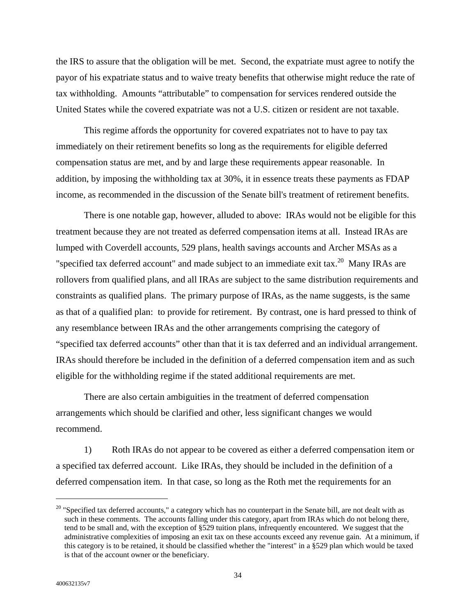the IRS to assure that the obligation will be met. Second, the expatriate must agree to notify the payor of his expatriate status and to waive treaty benefits that otherwise might reduce the rate of tax withholding. Amounts "attributable" to compensation for services rendered outside the United States while the covered expatriate was not a U.S. citizen or resident are not taxable.

This regime affords the opportunity for covered expatriates not to have to pay tax immediately on their retirement benefits so long as the requirements for eligible deferred compensation status are met, and by and large these requirements appear reasonable. In addition, by imposing the withholding tax at 30%, it in essence treats these payments as FDAP income, as recommended in the discussion of the Senate bill's treatment of retirement benefits.

There is one notable gap, however, alluded to above: IRAs would not be eligible for this treatment because they are not treated as deferred compensation items at all. Instead IRAs are lumped with Coverdell accounts, 529 plans, health savings accounts and Archer MSAs as a "specified tax deferred account" and made subject to an immediate exit tax.<sup>20</sup> Many IRAs are rollovers from qualified plans, and all IRAs are subject to the same distribution requirements and constraints as qualified plans. The primary purpose of IRAs, as the name suggests, is the same as that of a qualified plan: to provide for retirement. By contrast, one is hard pressed to think of any resemblance between IRAs and the other arrangements comprising the category of "specified tax deferred accounts" other than that it is tax deferred and an individual arrangement. IRAs should therefore be included in the definition of a deferred compensation item and as such eligible for the withholding regime if the stated additional requirements are met.

There are also certain ambiguities in the treatment of deferred compensation arrangements which should be clarified and other, less significant changes we would recommend.

1) Roth IRAs do not appear to be covered as either a deferred compensation item or a specified tax deferred account. Like IRAs, they should be included in the definition of a deferred compensation item. In that case, so long as the Roth met the requirements for an

<span id="page-35-0"></span><sup>&</sup>lt;sup>20</sup> "Specified tax deferred accounts," a category which has no counterpart in the Senate bill, are not dealt with as such in these comments. The accounts falling under this category, apart from IRAs which do not belong there, tend to be small and, with the exception of §529 tuition plans, infrequently encountered. We suggest that the administrative complexities of imposing an exit tax on these accounts exceed any revenue gain. At a minimum, if this category is to be retained, it should be classified whether the "interest" in a §529 plan which would be taxed is that of the account owner or the beneficiary.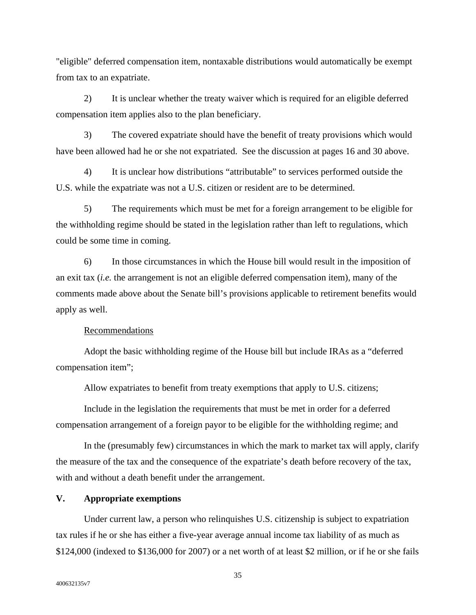"eligible" deferred compensation item, nontaxable distributions would automatically be exempt from tax to an expatriate.

2) It is unclear whether the treaty waiver which is required for an eligible deferred compensation item applies also to the plan beneficiary.

3) The covered expatriate should have the benefit of treaty provisions which would have been allowed had he or she not expatriated. See the discussion at pages 16 and 30 above.

4) It is unclear how distributions "attributable" to services performed outside the U.S. while the expatriate was not a U.S. citizen or resident are to be determined.

5) The requirements which must be met for a foreign arrangement to be eligible for the withholding regime should be stated in the legislation rather than left to regulations, which could be some time in coming.

6) In those circumstances in which the House bill would result in the imposition of an exit tax (*i.e.* the arrangement is not an eligible deferred compensation item), many of the comments made above about the Senate bill's provisions applicable to retirement benefits would apply as well.

## Recommendations

Adopt the basic withholding regime of the House bill but include IRAs as a "deferred compensation item";

Allow expatriates to benefit from treaty exemptions that apply to U.S. citizens;

Include in the legislation the requirements that must be met in order for a deferred compensation arrangement of a foreign payor to be eligible for the withholding regime; and

In the (presumably few) circumstances in which the mark to market tax will apply, clarify the measure of the tax and the consequence of the expatriate's death before recovery of the tax, with and without a death benefit under the arrangement.

### **V. Appropriate exemptions**

Under current law, a person who relinquishes U.S. citizenship is subject to expatriation tax rules if he or she has either a five-year average annual income tax liability of as much as \$124,000 (indexed to \$136,000 for 2007) or a net worth of at least \$2 million, or if he or she fails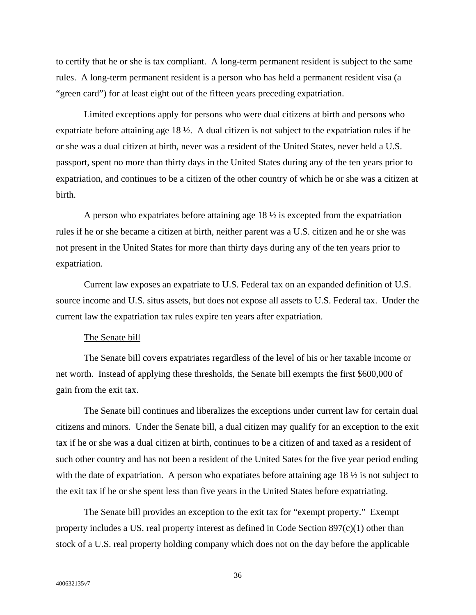to certify that he or she is tax compliant. A long-term permanent resident is subject to the same rules. A long-term permanent resident is a person who has held a permanent resident visa (a "green card") for at least eight out of the fifteen years preceding expatriation.

Limited exceptions apply for persons who were dual citizens at birth and persons who expatriate before attaining age 18 ½. A dual citizen is not subject to the expatriation rules if he or she was a dual citizen at birth, never was a resident of the United States, never held a U.S. passport, spent no more than thirty days in the United States during any of the ten years prior to expatriation, and continues to be a citizen of the other country of which he or she was a citizen at birth.

A person who expatriates before attaining age 18 ½ is excepted from the expatriation rules if he or she became a citizen at birth, neither parent was a U.S. citizen and he or she was not present in the United States for more than thirty days during any of the ten years prior to expatriation.

Current law exposes an expatriate to U.S. Federal tax on an expanded definition of U.S. source income and U.S. situs assets, but does not expose all assets to U.S. Federal tax. Under the current law the expatriation tax rules expire ten years after expatriation.

## The Senate bill

The Senate bill covers expatriates regardless of the level of his or her taxable income or net worth. Instead of applying these thresholds, the Senate bill exempts the first \$600,000 of gain from the exit tax.

The Senate bill continues and liberalizes the exceptions under current law for certain dual citizens and minors. Under the Senate bill, a dual citizen may qualify for an exception to the exit tax if he or she was a dual citizen at birth, continues to be a citizen of and taxed as a resident of such other country and has not been a resident of the United Sates for the five year period ending with the date of expatriation. A person who expatiates before attaining age  $18\frac{1}{2}$  is not subject to the exit tax if he or she spent less than five years in the United States before expatriating.

The Senate bill provides an exception to the exit tax for "exempt property." Exempt property includes a US. real property interest as defined in Code Section 897(c)(1) other than stock of a U.S. real property holding company which does not on the day before the applicable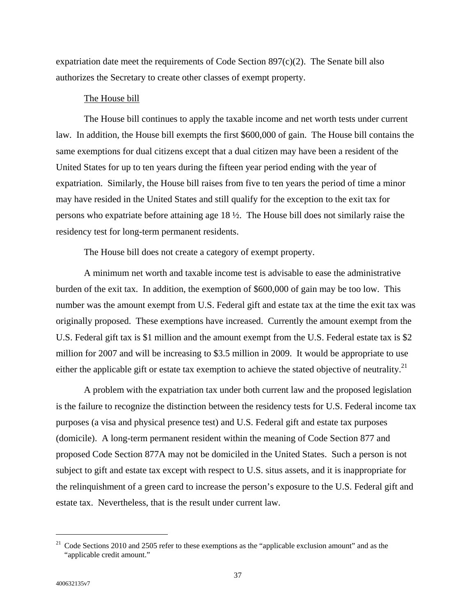expatriation date meet the requirements of Code Section  $897(c)(2)$ . The Senate bill also authorizes the Secretary to create other classes of exempt property.

### The House bill

The House bill continues to apply the taxable income and net worth tests under current law. In addition, the House bill exempts the first \$600,000 of gain. The House bill contains the same exemptions for dual citizens except that a dual citizen may have been a resident of the United States for up to ten years during the fifteen year period ending with the year of expatriation. Similarly, the House bill raises from five to ten years the period of time a minor may have resided in the United States and still qualify for the exception to the exit tax for persons who expatriate before attaining age 18 ½. The House bill does not similarly raise the residency test for long-term permanent residents.

The House bill does not create a category of exempt property.

A minimum net worth and taxable income test is advisable to ease the administrative burden of the exit tax. In addition, the exemption of \$600,000 of gain may be too low. This number was the amount exempt from U.S. Federal gift and estate tax at the time the exit tax was originally proposed. These exemptions have increased. Currently the amount exempt from the U.S. Federal gift tax is \$1 million and the amount exempt from the U.S. Federal estate tax is \$2 million for 2007 and will be increasing to \$3.5 million in 2009. It would be appropriate to use either the applicable gift or estate tax exemption to achieve the stated objective of neutrality.<sup>21</sup>

A problem with the expatriation tax under both current law and the proposed legislation is the failure to recognize the distinction between the residency tests for U.S. Federal income tax purposes (a visa and physical presence test) and U.S. Federal gift and estate tax purposes (domicile). A long-term permanent resident within the meaning of Code Section 877 and proposed Code Section 877A may not be domiciled in the United States. Such a person is not subject to gift and estate tax except with respect to U.S. situs assets, and it is inappropriate for the relinquishment of a green card to increase the person's exposure to the U.S. Federal gift and estate tax. Nevertheless, that is the result under current law.

<span id="page-38-0"></span><sup>&</sup>lt;sup>21</sup> Code Sections 2010 and 2505 refer to these exemptions as the "applicable exclusion amount" and as the "applicable credit amount."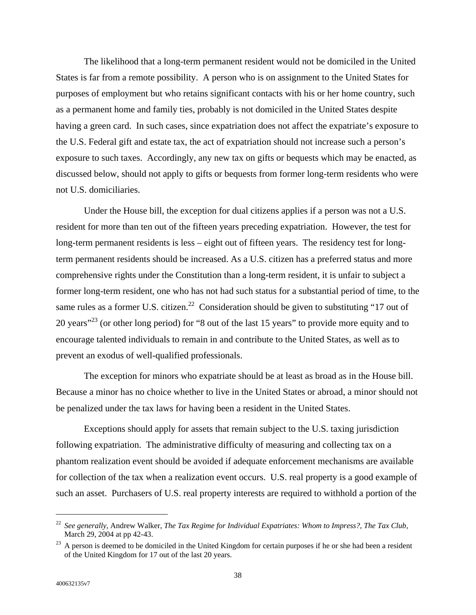The likelihood that a long-term permanent resident would not be domiciled in the United States is far from a remote possibility. A person who is on assignment to the United States for purposes of employment but who retains significant contacts with his or her home country, such as a permanent home and family ties, probably is not domiciled in the United States despite having a green card. In such cases, since expatriation does not affect the expatriate's exposure to the U.S. Federal gift and estate tax, the act of expatriation should not increase such a person's exposure to such taxes. Accordingly, any new tax on gifts or bequests which may be enacted, as discussed below, should not apply to gifts or bequests from former long-term residents who were not U.S. domiciliaries.

Under the House bill, the exception for dual citizens applies if a person was not a U.S. resident for more than ten out of the fifteen years preceding expatriation. However, the test for long-term permanent residents is less – eight out of fifteen years. The residency test for longterm permanent residents should be increased. As a U.S. citizen has a preferred status and more comprehensive rights under the Constitution than a long-term resident, it is unfair to subject a former long-term resident, one who has not had such status for a substantial period of time, to the same rules as a former U.S. citizen.<sup>22</sup> Consideration should be given to substituting "17 out of 20 years<sup>"23</sup> (or other long period) for "8 out of the last 15 years" to provide more equity and to encourage talented individuals to remain in and contribute to the United States, as well as to prevent an exodus of well-qualified professionals.

The exception for minors who expatriate should be at least as broad as in the House bill. Because a minor has no choice whether to live in the United States or abroad, a minor should not be penalized under the tax laws for having been a resident in the United States.

Exceptions should apply for assets that remain subject to the U.S. taxing jurisdiction following expatriation. The administrative difficulty of measuring and collecting tax on a phantom realization event should be avoided if adequate enforcement mechanisms are available for collection of the tax when a realization event occurs. U.S. real property is a good example of such an asset. Purchasers of U.S. real property interests are required to withhold a portion of the

<span id="page-39-0"></span><sup>22</sup> *See generally,* Andrew Walker, *The Tax Regime for Individual Expatriates: Whom to Impress?, The Tax Club,* March 29, 2004 at pp 42-43.

<span id="page-39-1"></span><sup>&</sup>lt;sup>23</sup> A person is deemed to be domiciled in the United Kingdom for certain purposes if he or she had been a resident of the United Kingdom for 17 out of the last 20 years.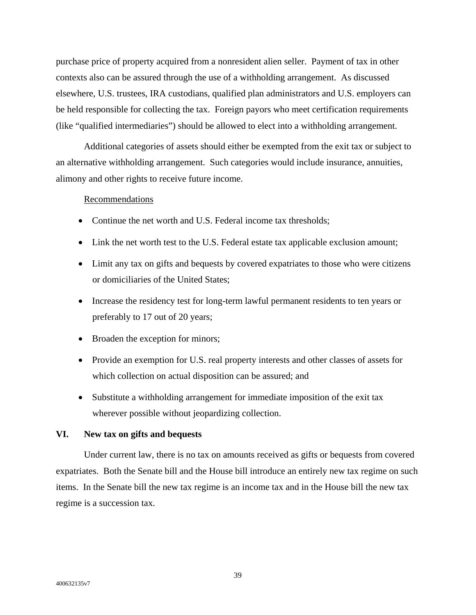purchase price of property acquired from a nonresident alien seller. Payment of tax in other contexts also can be assured through the use of a withholding arrangement. As discussed elsewhere, U.S. trustees, IRA custodians, qualified plan administrators and U.S. employers can be held responsible for collecting the tax. Foreign payors who meet certification requirements (like "qualified intermediaries") should be allowed to elect into a withholding arrangement.

Additional categories of assets should either be exempted from the exit tax or subject to an alternative withholding arrangement. Such categories would include insurance, annuities, alimony and other rights to receive future income.

### Recommendations

- Continue the net worth and U.S. Federal income tax thresholds;
- Link the net worth test to the U.S. Federal estate tax applicable exclusion amount;
- Limit any tax on gifts and bequests by covered expatriates to those who were citizens or domiciliaries of the United States;
- Increase the residency test for long-term lawful permanent residents to ten years or preferably to 17 out of 20 years;
- Broaden the exception for minors;
- Provide an exemption for U.S. real property interests and other classes of assets for which collection on actual disposition can be assured; and
- Substitute a withholding arrangement for immediate imposition of the exit tax wherever possible without jeopardizing collection.

### **VI. New tax on gifts and bequests**

Under current law, there is no tax on amounts received as gifts or bequests from covered expatriates. Both the Senate bill and the House bill introduce an entirely new tax regime on such items. In the Senate bill the new tax regime is an income tax and in the House bill the new tax regime is a succession tax.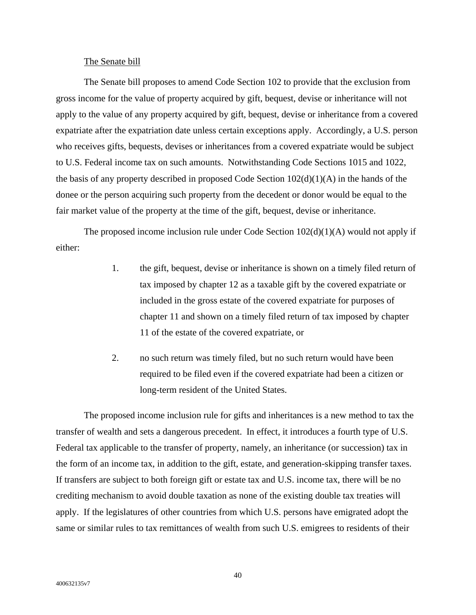### The Senate bill

The Senate bill proposes to amend Code Section 102 to provide that the exclusion from gross income for the value of property acquired by gift, bequest, devise or inheritance will not apply to the value of any property acquired by gift, bequest, devise or inheritance from a covered expatriate after the expatriation date unless certain exceptions apply. Accordingly, a U.S. person who receives gifts, bequests, devises or inheritances from a covered expatriate would be subject to U.S. Federal income tax on such amounts. Notwithstanding Code Sections 1015 and 1022, the basis of any property described in proposed Code Section  $102(d)(1)(A)$  in the hands of the donee or the person acquiring such property from the decedent or donor would be equal to the fair market value of the property at the time of the gift, bequest, devise or inheritance.

The proposed income inclusion rule under Code Section  $102(d)(1)(A)$  would not apply if either:

- 1. the gift, bequest, devise or inheritance is shown on a timely filed return of tax imposed by chapter 12 as a taxable gift by the covered expatriate or included in the gross estate of the covered expatriate for purposes of chapter 11 and shown on a timely filed return of tax imposed by chapter 11 of the estate of the covered expatriate, or
- 2. no such return was timely filed, but no such return would have been required to be filed even if the covered expatriate had been a citizen or long-term resident of the United States.

The proposed income inclusion rule for gifts and inheritances is a new method to tax the transfer of wealth and sets a dangerous precedent. In effect, it introduces a fourth type of U.S. Federal tax applicable to the transfer of property, namely, an inheritance (or succession) tax in the form of an income tax, in addition to the gift, estate, and generation-skipping transfer taxes. If transfers are subject to both foreign gift or estate tax and U.S. income tax, there will be no crediting mechanism to avoid double taxation as none of the existing double tax treaties will apply. If the legislatures of other countries from which U.S. persons have emigrated adopt the same or similar rules to tax remittances of wealth from such U.S. emigrees to residents of their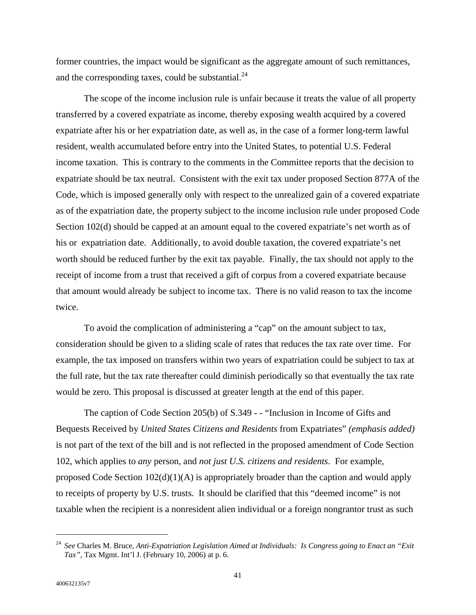former countries, the impact would be significant as the aggregate amount of such remittances, and the corresponding taxes, could be substantial. $^{24}$  $^{24}$  $^{24}$ 

The scope of the income inclusion rule is unfair because it treats the value of all property transferred by a covered expatriate as income, thereby exposing wealth acquired by a covered expatriate after his or her expatriation date, as well as, in the case of a former long-term lawful resident, wealth accumulated before entry into the United States, to potential U.S. Federal income taxation. This is contrary to the comments in the Committee reports that the decision to expatriate should be tax neutral. Consistent with the exit tax under proposed Section 877A of the Code, which is imposed generally only with respect to the unrealized gain of a covered expatriate as of the expatriation date, the property subject to the income inclusion rule under proposed Code Section 102(d) should be capped at an amount equal to the covered expatriate's net worth as of his or expatriation date. Additionally, to avoid double taxation, the covered expatriate's net worth should be reduced further by the exit tax payable. Finally, the tax should not apply to the receipt of income from a trust that received a gift of corpus from a covered expatriate because that amount would already be subject to income tax. There is no valid reason to tax the income twice.

To avoid the complication of administering a "cap" on the amount subject to tax, consideration should be given to a sliding scale of rates that reduces the tax rate over time. For example, the tax imposed on transfers within two years of expatriation could be subject to tax at the full rate, but the tax rate thereafter could diminish periodically so that eventually the tax rate would be zero. This proposal is discussed at greater length at the end of this paper.

The caption of Code Section 205(b) of S.349 - - "Inclusion in Income of Gifts and Bequests Received by *United States Citizens and Residents* from Expatriates" *(emphasis added)* is not part of the text of the bill and is not reflected in the proposed amendment of Code Section 102, which applies to *any* person, and *not just U.S. citizens and residents*. For example, proposed Code Section  $102(d)(1)(A)$  is appropriately broader than the caption and would apply to receipts of property by U.S. trusts. It should be clarified that this "deemed income" is not taxable when the recipient is a nonresident alien individual or a foreign nongrantor trust as such

<span id="page-42-0"></span><sup>24</sup> *See* Charles M. Bruce, *Anti-Expatriation Legislation Aimed at Individuals: Is Congress going to Enact an "Exit Tax",* Tax Mgmt. Int'l J. (February 10, 2006) at p. 6.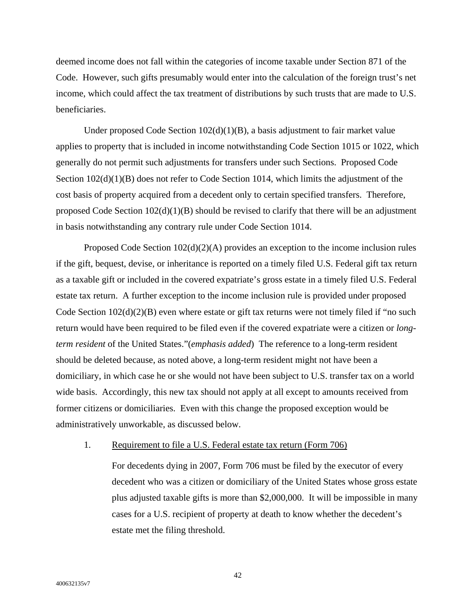deemed income does not fall within the categories of income taxable under Section 871 of the Code. However, such gifts presumably would enter into the calculation of the foreign trust's net income, which could affect the tax treatment of distributions by such trusts that are made to U.S. beneficiaries.

Under proposed Code Section  $102(d)(1)(B)$ , a basis adjustment to fair market value applies to property that is included in income notwithstanding Code Section 1015 or 1022, which generally do not permit such adjustments for transfers under such Sections. Proposed Code Section  $102(d)(1)(B)$  does not refer to Code Section 1014, which limits the adjustment of the cost basis of property acquired from a decedent only to certain specified transfers. Therefore, proposed Code Section  $102(d)(1)(B)$  should be revised to clarify that there will be an adjustment in basis notwithstanding any contrary rule under Code Section 1014.

Proposed Code Section 102(d)(2)(A) provides an exception to the income inclusion rules if the gift, bequest, devise, or inheritance is reported on a timely filed U.S. Federal gift tax return as a taxable gift or included in the covered expatriate's gross estate in a timely filed U.S. Federal estate tax return. A further exception to the income inclusion rule is provided under proposed Code Section  $102(d)(2)(B)$  even where estate or gift tax returns were not timely filed if "no such return would have been required to be filed even if the covered expatriate were a citizen or *longterm resident* of the United States."(*emphasis added*) The reference to a long-term resident should be deleted because, as noted above, a long-term resident might not have been a domiciliary, in which case he or she would not have been subject to U.S. transfer tax on a world wide basis. Accordingly, this new tax should not apply at all except to amounts received from former citizens or domiciliaries. Even with this change the proposed exception would be administratively unworkable, as discussed below.

1. Requirement to file a U.S. Federal estate tax return (Form 706)

For decedents dying in 2007, Form 706 must be filed by the executor of every decedent who was a citizen or domiciliary of the United States whose gross estate plus adjusted taxable gifts is more than \$2,000,000. It will be impossible in many cases for a U.S. recipient of property at death to know whether the decedent's estate met the filing threshold.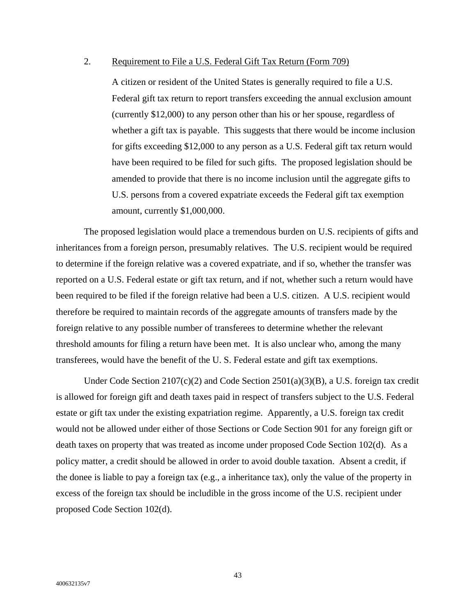# 2. Requirement to File a U.S. Federal Gift Tax Return (Form 709)

A citizen or resident of the United States is generally required to file a U.S. Federal gift tax return to report transfers exceeding the annual exclusion amount (currently \$12,000) to any person other than his or her spouse, regardless of whether a gift tax is payable. This suggests that there would be income inclusion for gifts exceeding \$12,000 to any person as a U.S. Federal gift tax return would have been required to be filed for such gifts. The proposed legislation should be amended to provide that there is no income inclusion until the aggregate gifts to U.S. persons from a covered expatriate exceeds the Federal gift tax exemption amount, currently \$1,000,000.

The proposed legislation would place a tremendous burden on U.S. recipients of gifts and inheritances from a foreign person, presumably relatives. The U.S. recipient would be required to determine if the foreign relative was a covered expatriate, and if so, whether the transfer was reported on a U.S. Federal estate or gift tax return, and if not, whether such a return would have been required to be filed if the foreign relative had been a U.S. citizen. A U.S. recipient would therefore be required to maintain records of the aggregate amounts of transfers made by the foreign relative to any possible number of transferees to determine whether the relevant threshold amounts for filing a return have been met. It is also unclear who, among the many transferees, would have the benefit of the U. S. Federal estate and gift tax exemptions.

Under Code Section 2107(c)(2) and Code Section 2501(a)(3)(B), a U.S. foreign tax credit is allowed for foreign gift and death taxes paid in respect of transfers subject to the U.S. Federal estate or gift tax under the existing expatriation regime. Apparently, a U.S. foreign tax credit would not be allowed under either of those Sections or Code Section 901 for any foreign gift or death taxes on property that was treated as income under proposed Code Section 102(d). As a policy matter, a credit should be allowed in order to avoid double taxation. Absent a credit, if the donee is liable to pay a foreign tax (e.g., a inheritance tax), only the value of the property in excess of the foreign tax should be includible in the gross income of the U.S. recipient under proposed Code Section 102(d).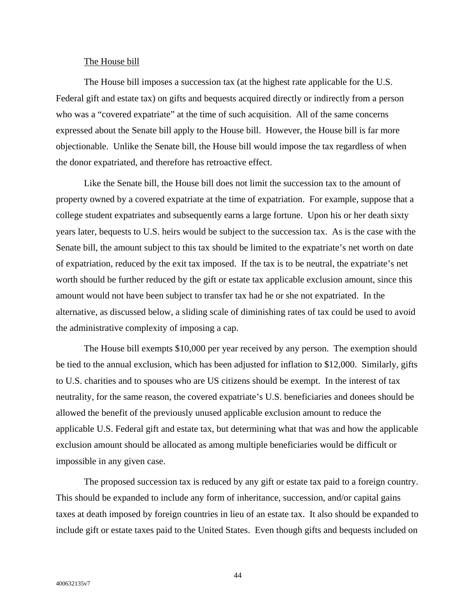### The House bill

The House bill imposes a succession tax (at the highest rate applicable for the U.S. Federal gift and estate tax) on gifts and bequests acquired directly or indirectly from a person who was a "covered expatriate" at the time of such acquisition. All of the same concerns expressed about the Senate bill apply to the House bill. However, the House bill is far more objectionable. Unlike the Senate bill, the House bill would impose the tax regardless of when the donor expatriated, and therefore has retroactive effect.

Like the Senate bill, the House bill does not limit the succession tax to the amount of property owned by a covered expatriate at the time of expatriation. For example, suppose that a college student expatriates and subsequently earns a large fortune. Upon his or her death sixty years later, bequests to U.S. heirs would be subject to the succession tax. As is the case with the Senate bill, the amount subject to this tax should be limited to the expatriate's net worth on date of expatriation, reduced by the exit tax imposed. If the tax is to be neutral, the expatriate's net worth should be further reduced by the gift or estate tax applicable exclusion amount, since this amount would not have been subject to transfer tax had he or she not expatriated. In the alternative, as discussed below, a sliding scale of diminishing rates of tax could be used to avoid the administrative complexity of imposing a cap.

The House bill exempts \$10,000 per year received by any person. The exemption should be tied to the annual exclusion, which has been adjusted for inflation to \$12,000. Similarly, gifts to U.S. charities and to spouses who are US citizens should be exempt. In the interest of tax neutrality, for the same reason, the covered expatriate's U.S. beneficiaries and donees should be allowed the benefit of the previously unused applicable exclusion amount to reduce the applicable U.S. Federal gift and estate tax, but determining what that was and how the applicable exclusion amount should be allocated as among multiple beneficiaries would be difficult or impossible in any given case.

The proposed succession tax is reduced by any gift or estate tax paid to a foreign country. This should be expanded to include any form of inheritance, succession, and/or capital gains taxes at death imposed by foreign countries in lieu of an estate tax. It also should be expanded to include gift or estate taxes paid to the United States. Even though gifts and bequests included on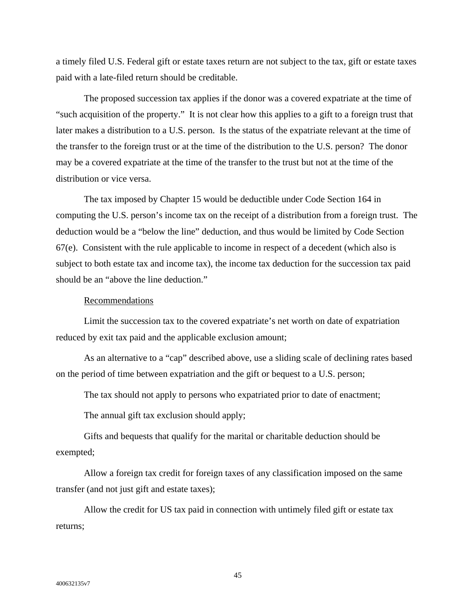a timely filed U.S. Federal gift or estate taxes return are not subject to the tax, gift or estate taxes paid with a late-filed return should be creditable.

The proposed succession tax applies if the donor was a covered expatriate at the time of "such acquisition of the property." It is not clear how this applies to a gift to a foreign trust that later makes a distribution to a U.S. person. Is the status of the expatriate relevant at the time of the transfer to the foreign trust or at the time of the distribution to the U.S. person? The donor may be a covered expatriate at the time of the transfer to the trust but not at the time of the distribution or vice versa.

The tax imposed by Chapter 15 would be deductible under Code Section 164 in computing the U.S. person's income tax on the receipt of a distribution from a foreign trust. The deduction would be a "below the line" deduction, and thus would be limited by Code Section 67(e). Consistent with the rule applicable to income in respect of a decedent (which also is subject to both estate tax and income tax), the income tax deduction for the succession tax paid should be an "above the line deduction."

### Recommendations

Limit the succession tax to the covered expatriate's net worth on date of expatriation reduced by exit tax paid and the applicable exclusion amount;

As an alternative to a "cap" described above, use a sliding scale of declining rates based on the period of time between expatriation and the gift or bequest to a U.S. person;

The tax should not apply to persons who expatriated prior to date of enactment;

The annual gift tax exclusion should apply;

Gifts and bequests that qualify for the marital or charitable deduction should be exempted;

Allow a foreign tax credit for foreign taxes of any classification imposed on the same transfer (and not just gift and estate taxes);

Allow the credit for US tax paid in connection with untimely filed gift or estate tax returns;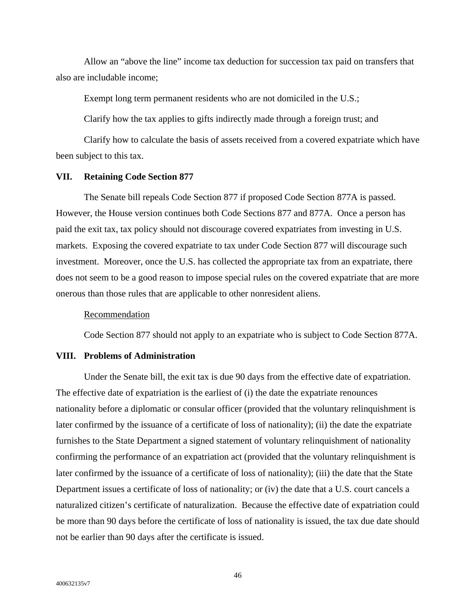Allow an "above the line" income tax deduction for succession tax paid on transfers that also are includable income;

Exempt long term permanent residents who are not domiciled in the U.S.;

Clarify how the tax applies to gifts indirectly made through a foreign trust; and

Clarify how to calculate the basis of assets received from a covered expatriate which have been subject to this tax.

## **VII. Retaining Code Section 877**

The Senate bill repeals Code Section 877 if proposed Code Section 877A is passed. However, the House version continues both Code Sections 877 and 877A. Once a person has paid the exit tax, tax policy should not discourage covered expatriates from investing in U.S. markets. Exposing the covered expatriate to tax under Code Section 877 will discourage such investment. Moreover, once the U.S. has collected the appropriate tax from an expatriate, there does not seem to be a good reason to impose special rules on the covered expatriate that are more onerous than those rules that are applicable to other nonresident aliens.

#### Recommendation

Code Section 877 should not apply to an expatriate who is subject to Code Section 877A.

### **VIII. Problems of Administration**

Under the Senate bill, the exit tax is due 90 days from the effective date of expatriation. The effective date of expatriation is the earliest of (i) the date the expatriate renounces nationality before a diplomatic or consular officer (provided that the voluntary relinquishment is later confirmed by the issuance of a certificate of loss of nationality); (ii) the date the expatriate furnishes to the State Department a signed statement of voluntary relinquishment of nationality confirming the performance of an expatriation act (provided that the voluntary relinquishment is later confirmed by the issuance of a certificate of loss of nationality); (iii) the date that the State Department issues a certificate of loss of nationality; or (iv) the date that a U.S. court cancels a naturalized citizen's certificate of naturalization. Because the effective date of expatriation could be more than 90 days before the certificate of loss of nationality is issued, the tax due date should not be earlier than 90 days after the certificate is issued.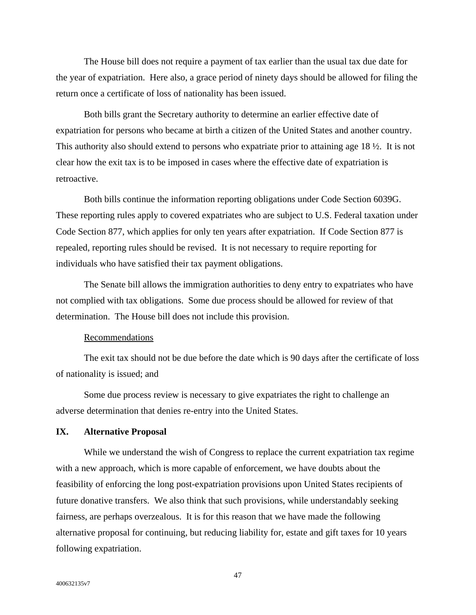The House bill does not require a payment of tax earlier than the usual tax due date for the year of expatriation. Here also, a grace period of ninety days should be allowed for filing the return once a certificate of loss of nationality has been issued.

Both bills grant the Secretary authority to determine an earlier effective date of expatriation for persons who became at birth a citizen of the United States and another country. This authority also should extend to persons who expatriate prior to attaining age 18 ½. It is not clear how the exit tax is to be imposed in cases where the effective date of expatriation is retroactive.

Both bills continue the information reporting obligations under Code Section 6039G. These reporting rules apply to covered expatriates who are subject to U.S. Federal taxation under Code Section 877, which applies for only ten years after expatriation. If Code Section 877 is repealed, reporting rules should be revised. It is not necessary to require reporting for individuals who have satisfied their tax payment obligations.

The Senate bill allows the immigration authorities to deny entry to expatriates who have not complied with tax obligations. Some due process should be allowed for review of that determination. The House bill does not include this provision.

## Recommendations

The exit tax should not be due before the date which is 90 days after the certificate of loss of nationality is issued; and

Some due process review is necessary to give expatriates the right to challenge an adverse determination that denies re-entry into the United States.

# **IX. Alternative Proposal**

While we understand the wish of Congress to replace the current expatriation tax regime with a new approach, which is more capable of enforcement, we have doubts about the feasibility of enforcing the long post-expatriation provisions upon United States recipients of future donative transfers. We also think that such provisions, while understandably seeking fairness, are perhaps overzealous. It is for this reason that we have made the following alternative proposal for continuing, but reducing liability for, estate and gift taxes for 10 years following expatriation.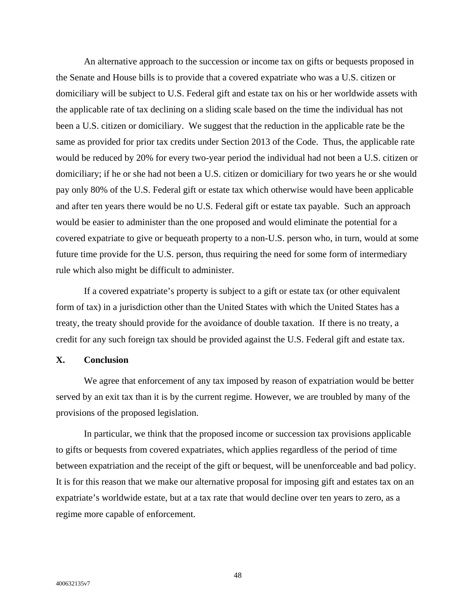An alternative approach to the succession or income tax on gifts or bequests proposed in the Senate and House bills is to provide that a covered expatriate who was a U.S. citizen or domiciliary will be subject to U.S. Federal gift and estate tax on his or her worldwide assets with the applicable rate of tax declining on a sliding scale based on the time the individual has not been a U.S. citizen or domiciliary. We suggest that the reduction in the applicable rate be the same as provided for prior tax credits under Section 2013 of the Code. Thus, the applicable rate would be reduced by 20% for every two-year period the individual had not been a U.S. citizen or domiciliary; if he or she had not been a U.S. citizen or domiciliary for two years he or she would pay only 80% of the U.S. Federal gift or estate tax which otherwise would have been applicable and after ten years there would be no U.S. Federal gift or estate tax payable. Such an approach would be easier to administer than the one proposed and would eliminate the potential for a covered expatriate to give or bequeath property to a non-U.S. person who, in turn, would at some future time provide for the U.S. person, thus requiring the need for some form of intermediary rule which also might be difficult to administer.

If a covered expatriate's property is subject to a gift or estate tax (or other equivalent form of tax) in a jurisdiction other than the United States with which the United States has a treaty, the treaty should provide for the avoidance of double taxation. If there is no treaty, a credit for any such foreign tax should be provided against the U.S. Federal gift and estate tax.

# **X. Conclusion**

We agree that enforcement of any tax imposed by reason of expatriation would be better served by an exit tax than it is by the current regime. However, we are troubled by many of the provisions of the proposed legislation.

In particular, we think that the proposed income or succession tax provisions applicable to gifts or bequests from covered expatriates, which applies regardless of the period of time between expatriation and the receipt of the gift or bequest, will be unenforceable and bad policy. It is for this reason that we make our alternative proposal for imposing gift and estates tax on an expatriate's worldwide estate, but at a tax rate that would decline over ten years to zero, as a regime more capable of enforcement.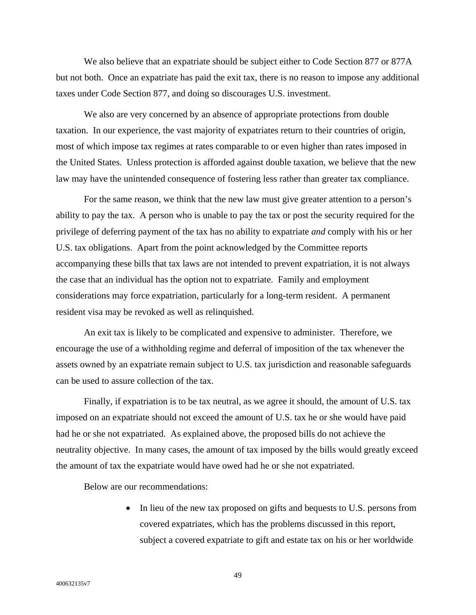We also believe that an expatriate should be subject either to Code Section 877 or 877A but not both. Once an expatriate has paid the exit tax, there is no reason to impose any additional taxes under Code Section 877, and doing so discourages U.S. investment.

We also are very concerned by an absence of appropriate protections from double taxation. In our experience, the vast majority of expatriates return to their countries of origin, most of which impose tax regimes at rates comparable to or even higher than rates imposed in the United States. Unless protection is afforded against double taxation, we believe that the new law may have the unintended consequence of fostering less rather than greater tax compliance.

For the same reason, we think that the new law must give greater attention to a person's ability to pay the tax. A person who is unable to pay the tax or post the security required for the privilege of deferring payment of the tax has no ability to expatriate *and* comply with his or her U.S. tax obligations. Apart from the point acknowledged by the Committee reports accompanying these bills that tax laws are not intended to prevent expatriation, it is not always the case that an individual has the option not to expatriate. Family and employment considerations may force expatriation, particularly for a long-term resident. A permanent resident visa may be revoked as well as relinquished.

An exit tax is likely to be complicated and expensive to administer. Therefore, we encourage the use of a withholding regime and deferral of imposition of the tax whenever the assets owned by an expatriate remain subject to U.S. tax jurisdiction and reasonable safeguards can be used to assure collection of the tax.

Finally, if expatriation is to be tax neutral, as we agree it should, the amount of U.S. tax imposed on an expatriate should not exceed the amount of U.S. tax he or she would have paid had he or she not expatriated. As explained above, the proposed bills do not achieve the neutrality objective. In many cases, the amount of tax imposed by the bills would greatly exceed the amount of tax the expatriate would have owed had he or she not expatriated.

Below are our recommendations:

• In lieu of the new tax proposed on gifts and bequests to U.S. persons from covered expatriates, which has the problems discussed in this report, subject a covered expatriate to gift and estate tax on his or her worldwide